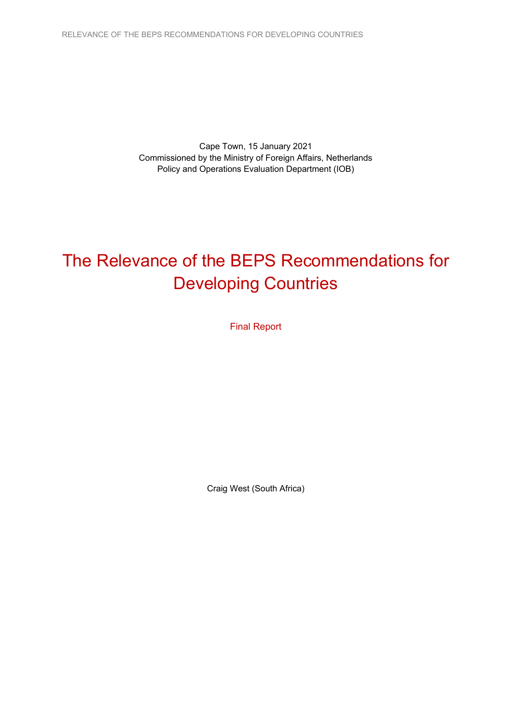Cape Town, 15 January 2021 Commissioned by the Ministry of Foreign Affairs, Netherlands Policy and Operations Evaluation Department (IOB)

# The Relevance of the BEPS Recommendations for Developing Countries

Final Report

Craig West (South Africa)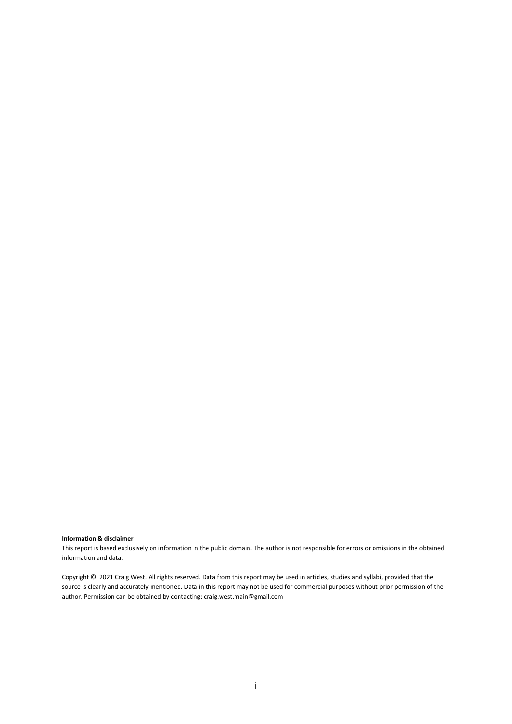#### **Information & disclaimer**

This report is based exclusively on information in the public domain. The author is not responsible for errors or omissions in the obtained information and data.

Copyright © 2021 Craig West. All rights reserved. Data from this report may be used in articles, studies and syllabi, provided that the source is clearly and accurately mentioned. Data in this report may not be used for commercial purposes without prior permission of the author. Permission can be obtained by contacting: craig.west.main@gmail.com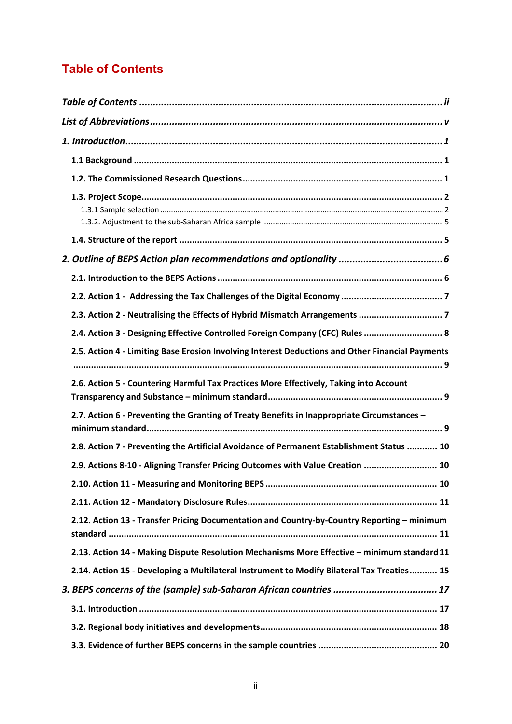# **Table of Contents**

| 2.3. Action 2 - Neutralising the Effects of Hybrid Mismatch Arrangements  7                      |  |
|--------------------------------------------------------------------------------------------------|--|
| 2.4. Action 3 - Designing Effective Controlled Foreign Company (CFC) Rules  8                    |  |
| 2.5. Action 4 - Limiting Base Erosion Involving Interest Deductions and Other Financial Payments |  |
| 2.6. Action 5 - Countering Harmful Tax Practices More Effectively, Taking into Account           |  |
| 2.7. Action 6 - Preventing the Granting of Treaty Benefits in Inappropriate Circumstances -      |  |
| 2.8. Action 7 - Preventing the Artificial Avoidance of Permanent Establishment Status  10        |  |
| 2.9. Actions 8-10 - Aligning Transfer Pricing Outcomes with Value Creation  10                   |  |
|                                                                                                  |  |
|                                                                                                  |  |
| 2.12. Action 13 - Transfer Pricing Documentation and Country-by-Country Reporting - minimum      |  |
| 2.13. Action 14 - Making Dispute Resolution Mechanisms More Effective - minimum standard 11      |  |
| 2.14. Action 15 - Developing a Multilateral Instrument to Modify Bilateral Tax Treaties 15       |  |
|                                                                                                  |  |
|                                                                                                  |  |
|                                                                                                  |  |
|                                                                                                  |  |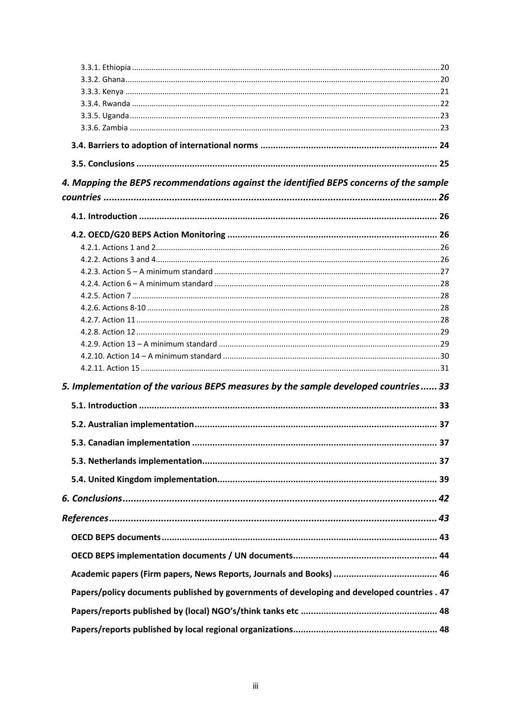| 4. Mapping the BEPS recommendations against the identified BEPS concerns of the sample      |  |
|---------------------------------------------------------------------------------------------|--|
|                                                                                             |  |
|                                                                                             |  |
|                                                                                             |  |
|                                                                                             |  |
|                                                                                             |  |
|                                                                                             |  |
|                                                                                             |  |
|                                                                                             |  |
|                                                                                             |  |
|                                                                                             |  |
|                                                                                             |  |
|                                                                                             |  |
|                                                                                             |  |
|                                                                                             |  |
| 5. Implementation of the various BEPS measures by the sample developed countries 33         |  |
|                                                                                             |  |
|                                                                                             |  |
|                                                                                             |  |
|                                                                                             |  |
|                                                                                             |  |
|                                                                                             |  |
|                                                                                             |  |
|                                                                                             |  |
|                                                                                             |  |
|                                                                                             |  |
| Papers/policy documents published by governments of developing and developed countries . 47 |  |
|                                                                                             |  |
|                                                                                             |  |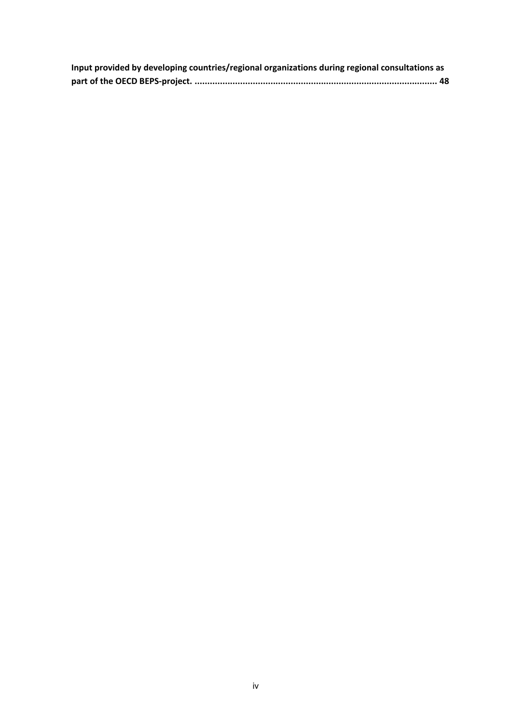| Input provided by developing countries/regional organizations during regional consultations as |  |
|------------------------------------------------------------------------------------------------|--|
|                                                                                                |  |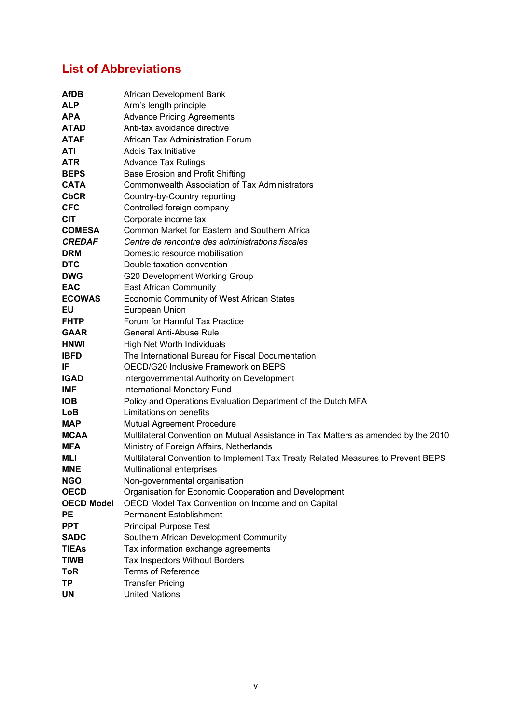# **List of Abbreviations**

| <b>AfDB</b>       | African Development Bank                                                           |
|-------------------|------------------------------------------------------------------------------------|
| <b>ALP</b>        | Arm's length principle                                                             |
| <b>APA</b>        | <b>Advance Pricing Agreements</b>                                                  |
| <b>ATAD</b>       | Anti-tax avoidance directive                                                       |
| <b>ATAF</b>       | African Tax Administration Forum                                                   |
| ATI               | <b>Addis Tax Initiative</b>                                                        |
| <b>ATR</b>        | <b>Advance Tax Rulings</b>                                                         |
| <b>BEPS</b>       | <b>Base Erosion and Profit Shifting</b>                                            |
| <b>CATA</b>       | <b>Commonwealth Association of Tax Administrators</b>                              |
| <b>CbCR</b>       | Country-by-Country reporting                                                       |
| <b>CFC</b>        | Controlled foreign company                                                         |
| <b>CIT</b>        | Corporate income tax                                                               |
| <b>COMESA</b>     | Common Market for Eastern and Southern Africa                                      |
| <b>CREDAF</b>     | Centre de rencontre des administrations fiscales                                   |
| <b>DRM</b>        | Domestic resource mobilisation                                                     |
| <b>DTC</b>        | Double taxation convention                                                         |
| <b>DWG</b>        | G20 Development Working Group                                                      |
| <b>EAC</b>        | <b>East African Community</b>                                                      |
| <b>ECOWAS</b>     | <b>Economic Community of West African States</b>                                   |
| EU                | European Union                                                                     |
| <b>FHTP</b>       | Forum for Harmful Tax Practice                                                     |
| <b>GAAR</b>       | <b>General Anti-Abuse Rule</b>                                                     |
| <b>HNWI</b>       | High Net Worth Individuals                                                         |
| <b>IBFD</b>       | The International Bureau for Fiscal Documentation                                  |
| IF                | OECD/G20 Inclusive Framework on BEPS                                               |
| IGAD              | Intergovernmental Authority on Development                                         |
| <b>IMF</b>        | <b>International Monetary Fund</b>                                                 |
| <b>IOB</b>        | Policy and Operations Evaluation Department of the Dutch MFA                       |
| LoB               | Limitations on benefits                                                            |
| <b>MAP</b>        | <b>Mutual Agreement Procedure</b>                                                  |
| <b>MCAA</b>       | Multilateral Convention on Mutual Assistance in Tax Matters as amended by the 2010 |
| <b>MFA</b>        | Ministry of Foreign Affairs, Netherlands                                           |
| MLI               | Multilateral Convention to Implement Tax Treaty Related Measures to Prevent BEPS   |
| <b>MNE</b>        | Multinational enterprises                                                          |
| NGO               | Non-governmental organisation                                                      |
| <b>OECD</b>       | Organisation for Economic Cooperation and Development                              |
| <b>OECD Model</b> | OECD Model Tax Convention on Income and on Capital                                 |
| <b>PE</b>         | <b>Permanent Establishment</b>                                                     |
| <b>PPT</b>        | <b>Principal Purpose Test</b>                                                      |
| <b>SADC</b>       | Southern African Development Community                                             |
| <b>TIEAs</b>      | Tax information exchange agreements                                                |
| <b>TIWB</b>       | Tax Inspectors Without Borders                                                     |
| <b>ToR</b>        | <b>Terms of Reference</b>                                                          |
| ΤP                | <b>Transfer Pricing</b>                                                            |
| UN                | <b>United Nations</b>                                                              |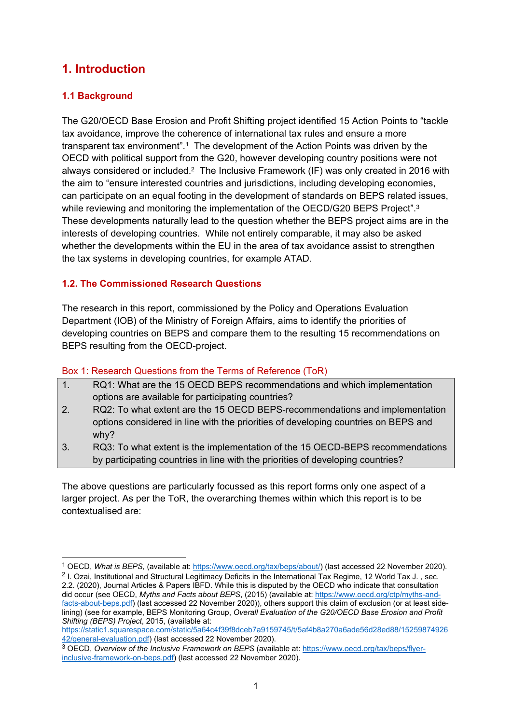# **1. Introduction**

# **1.1 Background**

1

The G20/OECD Base Erosion and Profit Shifting project identified 15 Action Points to "tackle tax avoidance, improve the coherence of international tax rules and ensure a more transparent tax environment".1 The development of the Action Points was driven by the OECD with political support from the G20, however developing country positions were not always considered or included.2 The Inclusive Framework (IF) was only created in 2016 with the aim to "ensure interested countries and jurisdictions, including developing economies, can participate on an equal footing in the development of standards on BEPS related issues, while reviewing and monitoring the implementation of the OECD/G20 BEPS Project".<sup>3</sup> These developments naturally lead to the question whether the BEPS project aims are in the interests of developing countries. While not entirely comparable, it may also be asked whether the developments within the EU in the area of tax avoidance assist to strengthen the tax systems in developing countries, for example ATAD.

# **1.2. The Commissioned Research Questions**

The research in this report, commissioned by the Policy and Operations Evaluation Department (IOB) of the Ministry of Foreign Affairs, aims to identify the priorities of developing countries on BEPS and compare them to the resulting 15 recommendations on BEPS resulting from the OECD-project.

# Box 1: Research Questions from the Terms of Reference (ToR)

- 1. RQ1: What are the 15 OECD BEPS recommendations and which implementation options are available for participating countries?
- 2. RQ2: To what extent are the 15 OECD BEPS-recommendations and implementation options considered in line with the priorities of developing countries on BEPS and why?
- 3. RQ3: To what extent is the implementation of the 15 OECD-BEPS recommendations by participating countries in line with the priorities of developing countries?

The above questions are particularly focussed as this report forms only one aspect of a larger project. As per the ToR, the overarching themes within which this report is to be contextualised are:

https://static1.squarespace.com/static/5a64c4f39f8dceb7a9159745/t/5af4b8a270a6ade56d28ed88/15259874926 42/general-evaluation.pdf) (last accessed 22 November 2020).

<sup>1</sup> OECD, *What is BEPS,* (available at: https://www.oecd.org/tax/beps/about/) (last accessed 22 November 2020).

<sup>2</sup> I. Ozai, Institutional and Structural Legitimacy Deficits in the International Tax Regime, 12 World Tax J. , sec. 2.2. (2020), Journal Articles & Papers IBFD. While this is disputed by the OECD who indicate that consultation did occur (see OECD, *Myths and Facts about BEPS*, (2015) (available at: https://www.oecd.org/ctp/myths-andfacts-about-beps.pdf) (last accessed 22 November 2020)), others support this claim of exclusion (or at least sidelining) (see for example, BEPS Monitoring Group, *Overall Evaluation of the G20/OECD Base Erosion and Profit Shifting (BEPS) Project*, 2015, (available at:

<sup>3</sup> OECD, *Overview of the Inclusive Framework on BEPS* (available at: https://www.oecd.org/tax/beps/flyerinclusive-framework-on-beps.pdf) (last accessed 22 November 2020).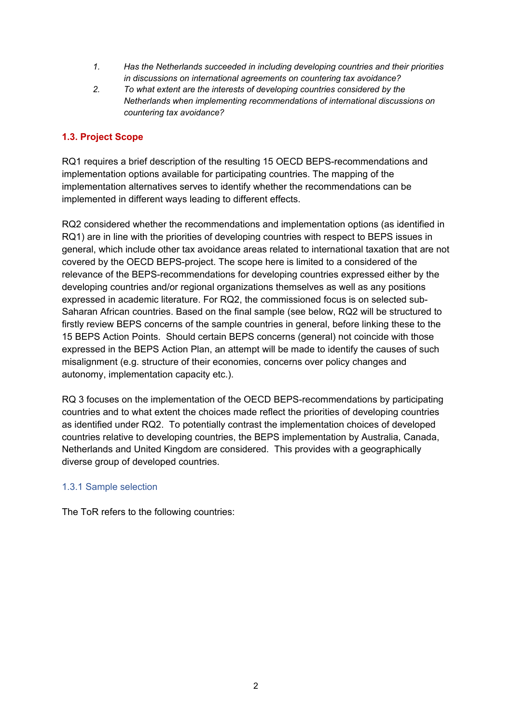- *1. Has the Netherlands succeeded in including developing countries and their priorities in discussions on international agreements on countering tax avoidance?*
- *2. To what extent are the interests of developing countries considered by the Netherlands when implementing recommendations of international discussions on countering tax avoidance?*

# **1.3. Project Scope**

RQ1 requires a brief description of the resulting 15 OECD BEPS-recommendations and implementation options available for participating countries. The mapping of the implementation alternatives serves to identify whether the recommendations can be implemented in different ways leading to different effects.

RQ2 considered whether the recommendations and implementation options (as identified in RQ1) are in line with the priorities of developing countries with respect to BEPS issues in general, which include other tax avoidance areas related to international taxation that are not covered by the OECD BEPS-project. The scope here is limited to a considered of the relevance of the BEPS-recommendations for developing countries expressed either by the developing countries and/or regional organizations themselves as well as any positions expressed in academic literature. For RQ2, the commissioned focus is on selected sub-Saharan African countries. Based on the final sample (see below, RQ2 will be structured to firstly review BEPS concerns of the sample countries in general, before linking these to the 15 BEPS Action Points. Should certain BEPS concerns (general) not coincide with those expressed in the BEPS Action Plan, an attempt will be made to identify the causes of such misalignment (e.g. structure of their economies, concerns over policy changes and autonomy, implementation capacity etc.).

RQ 3 focuses on the implementation of the OECD BEPS-recommendations by participating countries and to what extent the choices made reflect the priorities of developing countries as identified under RQ2. To potentially contrast the implementation choices of developed countries relative to developing countries, the BEPS implementation by Australia, Canada, Netherlands and United Kingdom are considered. This provides with a geographically diverse group of developed countries.

# 1.3.1 Sample selection

The ToR refers to the following countries: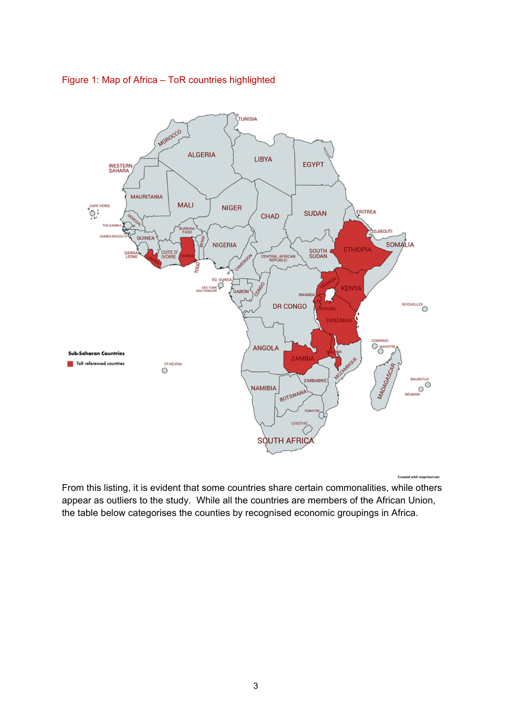

#### Figure 1: Map of Africa – ToR countries highlighted

*chart.net* 

From this listing, it is evident that some countries share certain commonalities, while others appear as outliers to the study. While all the countries are members of the African Union, the table below categorises the counties by recognised economic groupings in Africa.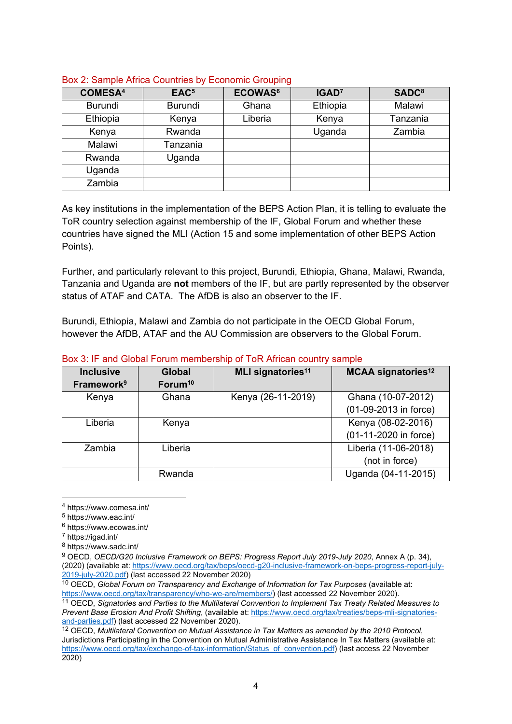| <b>COMESA4</b> | EAC <sup>5</sup> | <b>ECOWAS<sup>6</sup></b> | IGAD <sup>7</sup> | <b>SADC<sup>8</sup></b> |
|----------------|------------------|---------------------------|-------------------|-------------------------|
| <b>Burundi</b> | <b>Burundi</b>   | Ghana                     | Ethiopia          | Malawi                  |
| Ethiopia       | Kenya            | Liberia                   | Kenya             | Tanzania                |
| Kenya          | Rwanda           |                           | Uganda            | Zambia                  |
| Malawi         | Tanzania         |                           |                   |                         |
| Rwanda         | Uganda           |                           |                   |                         |
| Uganda         |                  |                           |                   |                         |
| Zambia         |                  |                           |                   |                         |

Box 2: Sample Africa Countries by Economic Grouping

As key institutions in the implementation of the BEPS Action Plan, it is telling to evaluate the ToR country selection against membership of the IF, Global Forum and whether these countries have signed the MLI (Action 15 and some implementation of other BEPS Action Points).

Further, and particularly relevant to this project, Burundi, Ethiopia, Ghana, Malawi, Rwanda, Tanzania and Uganda are **not** members of the IF, but are partly represented by the observer status of ATAF and CATA. The AfDB is also an observer to the IF.

Burundi, Ethiopia, Malawi and Zambia do not participate in the OECD Global Forum, however the AfDB, ATAF and the AU Commission are observers to the Global Forum.

| Box 3: IF and Global Forum membership of ToR African country sample |  |
|---------------------------------------------------------------------|--|
|---------------------------------------------------------------------|--|

| <b>Inclusive</b><br><b>Framework</b> <sup>9</sup> | <b>Global</b><br>Forum <sup>10</sup> | MLI signatories <sup>11</sup> | <b>MCAA signatories<sup>12</sup></b> |
|---------------------------------------------------|--------------------------------------|-------------------------------|--------------------------------------|
| Kenya                                             | Ghana                                | Kenya (26-11-2019)            | Ghana (10-07-2012)                   |
|                                                   |                                      |                               | (01-09-2013 in force)                |
| Liberia                                           | Kenya                                |                               | Kenya (08-02-2016)                   |
|                                                   |                                      |                               | (01-11-2020 in force)                |
| Zambia                                            | Liberia                              |                               | Liberia (11-06-2018)                 |
|                                                   |                                      |                               | (not in force)                       |
|                                                   | Rwanda                               |                               | Uganda (04-11-2015)                  |

<sup>4</sup> https://www.comesa.int/

1

10 OECD, *Global Forum on Transparency and Exchange of Information for Tax Purposes* (available at: https://www.oecd.org/tax/transparency/who-we-are/members/) (last accessed 22 November 2020).

11 OECD, *Signatories and Parties to the Multilateral Convention to Implement Tax Treaty Related Measures to Prevent Base Erosion And Profit Shifting*, (available at: https://www.oecd.org/tax/treaties/beps-mli-signatoriesand-parties.pdf) (last accessed 22 November 2020).

<sup>5</sup> https://www.eac.int/

<sup>6</sup> https://www.ecowas.int/

<sup>7</sup> https://igad.int/

<sup>8</sup> https://www.sadc.int/

<sup>9</sup> OECD, *OECD/G20 Inclusive Framework on BEPS: Progress Report July 2019-July 2020*, Annex A (p. 34), (2020) (available at: https://www.oecd.org/tax/beps/oecd-g20-inclusive-framework-on-beps-progress-report-july-2019-july-2020.pdf) (last accessed 22 November 2020)

<sup>12</sup> OECD, *Multilateral Convention on Mutual Assistance in Tax Matters as amended by the 2010 Protocol*, Jurisdictions Participating in the Convention on Mutual Administrative Assistance In Tax Matters (available at: https://www.oecd.org/tax/exchange-of-tax-information/Status\_of\_convention.pdf) (last access 22 November 2020)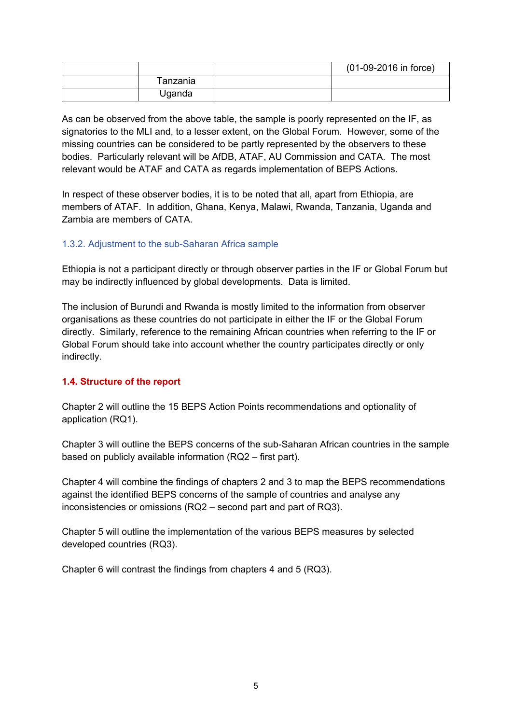|          | (01-09-2016 in force) |
|----------|-----------------------|
| Tanzania |                       |
| Uganda   |                       |

As can be observed from the above table, the sample is poorly represented on the IF, as signatories to the MLI and, to a lesser extent, on the Global Forum. However, some of the missing countries can be considered to be partly represented by the observers to these bodies. Particularly relevant will be AfDB, ATAF, AU Commission and CATA. The most relevant would be ATAF and CATA as regards implementation of BEPS Actions.

In respect of these observer bodies, it is to be noted that all, apart from Ethiopia, are members of ATAF. In addition, Ghana, Kenya, Malawi, Rwanda, Tanzania, Uganda and Zambia are members of CATA.

# 1.3.2. Adjustment to the sub-Saharan Africa sample

Ethiopia is not a participant directly or through observer parties in the IF or Global Forum but may be indirectly influenced by global developments. Data is limited.

The inclusion of Burundi and Rwanda is mostly limited to the information from observer organisations as these countries do not participate in either the IF or the Global Forum directly. Similarly, reference to the remaining African countries when referring to the IF or Global Forum should take into account whether the country participates directly or only indirectly.

#### **1.4. Structure of the report**

Chapter 2 will outline the 15 BEPS Action Points recommendations and optionality of application (RQ1).

Chapter 3 will outline the BEPS concerns of the sub-Saharan African countries in the sample based on publicly available information (RQ2 – first part).

Chapter 4 will combine the findings of chapters 2 and 3 to map the BEPS recommendations against the identified BEPS concerns of the sample of countries and analyse any inconsistencies or omissions (RQ2 – second part and part of RQ3).

Chapter 5 will outline the implementation of the various BEPS measures by selected developed countries (RQ3).

Chapter 6 will contrast the findings from chapters 4 and 5 (RQ3).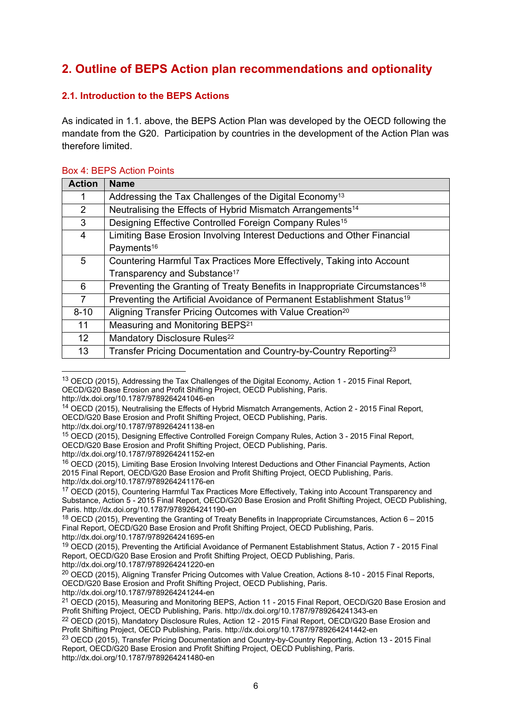# **2. Outline of BEPS Action plan recommendations and optionality**

#### **2.1. Introduction to the BEPS Actions**

As indicated in 1.1. above, the BEPS Action Plan was developed by the OECD following the mandate from the G20. Participation by countries in the development of the Action Plan was therefore limited.

| <b>Action</b>   | <b>Name</b>                                                                             |
|-----------------|-----------------------------------------------------------------------------------------|
|                 | Addressing the Tax Challenges of the Digital Economy <sup>13</sup>                      |
| $\overline{2}$  | Neutralising the Effects of Hybrid Mismatch Arrangements <sup>14</sup>                  |
| 3               | Designing Effective Controlled Foreign Company Rules <sup>15</sup>                      |
| 4               | Limiting Base Erosion Involving Interest Deductions and Other Financial                 |
|                 | Payments <sup>16</sup>                                                                  |
| 5               | Countering Harmful Tax Practices More Effectively, Taking into Account                  |
|                 | Transparency and Substance <sup>17</sup>                                                |
| 6               | Preventing the Granting of Treaty Benefits in Inappropriate Circumstances <sup>18</sup> |
| $\overline{7}$  | Preventing the Artificial Avoidance of Permanent Establishment Status <sup>19</sup>     |
| $8 - 10$        | Aligning Transfer Pricing Outcomes with Value Creation <sup>20</sup>                    |
| 11              | Measuring and Monitoring BEPS <sup>21</sup>                                             |
| 12 <sup>2</sup> | Mandatory Disclosure Rules <sup>22</sup>                                                |
| 13              | Transfer Pricing Documentation and Country-by-Country Reporting <sup>23</sup>           |

#### Box 4: BEPS Action Points

-

http://dx.doi.org/10.1787/9789264241152-en

<sup>13</sup> OECD (2015), Addressing the Tax Challenges of the Digital Economy, Action 1 - 2015 Final Report, OECD/G20 Base Erosion and Profit Shifting Project, OECD Publishing, Paris. http://dx.doi.org/10.1787/9789264241046-en

<sup>14</sup> OECD (2015), Neutralising the Effects of Hybrid Mismatch Arrangements, Action 2 - 2015 Final Report, OECD/G20 Base Erosion and Profit Shifting Project, OECD Publishing, Paris.

http://dx.doi.org/10.1787/9789264241138-en

<sup>15</sup> OECD (2015), Designing Effective Controlled Foreign Company Rules, Action 3 - 2015 Final Report, OECD/G20 Base Erosion and Profit Shifting Project, OECD Publishing, Paris.

<sup>16</sup> OECD (2015), Limiting Base Erosion Involving Interest Deductions and Other Financial Payments, Action 2015 Final Report, OECD/G20 Base Erosion and Profit Shifting Project, OECD Publishing, Paris. http://dx.doi.org/10.1787/9789264241176-en

<sup>&</sup>lt;sup>17</sup> OECD (2015), Countering Harmful Tax Practices More Effectively, Taking into Account Transparency and Substance, Action 5 - 2015 Final Report, OECD/G20 Base Erosion and Profit Shifting Project, OECD Publishing, Paris. http://dx.doi.org/10.1787/9789264241190-en

<sup>18</sup> OECD (2015), Preventing the Granting of Treaty Benefits in Inappropriate Circumstances, Action 6 – 2015 Final Report, OECD/G20 Base Erosion and Profit Shifting Project, OECD Publishing, Paris. http://dx.doi.org/10.1787/9789264241695-en

<sup>19</sup> OECD (2015), Preventing the Artificial Avoidance of Permanent Establishment Status, Action 7 - 2015 Final Report, OECD/G20 Base Erosion and Profit Shifting Project, OECD Publishing, Paris. http://dx.doi.org/10.1787/9789264241220-en

<sup>20</sup> OECD (2015), Aligning Transfer Pricing Outcomes with Value Creation, Actions 8-10 - 2015 Final Reports, OECD/G20 Base Erosion and Profit Shifting Project, OECD Publishing, Paris. http://dx.doi.org/10.1787/9789264241244-en

<sup>21</sup> OECD (2015), Measuring and Monitoring BEPS, Action 11 - 2015 Final Report, OECD/G20 Base Erosion and Profit Shifting Project, OECD Publishing, Paris. http://dx.doi.org/10.1787/9789264241343-en

<sup>22</sup> OECD (2015), Mandatory Disclosure Rules, Action 12 - 2015 Final Report, OECD/G20 Base Erosion and Profit Shifting Project, OECD Publishing, Paris. http://dx.doi.org/10.1787/9789264241442-en

<sup>23</sup> OECD (2015), Transfer Pricing Documentation and Country-by-Country Reporting, Action 13 - 2015 Final Report, OECD/G20 Base Erosion and Profit Shifting Project, OECD Publishing, Paris. http://dx.doi.org/10.1787/9789264241480-en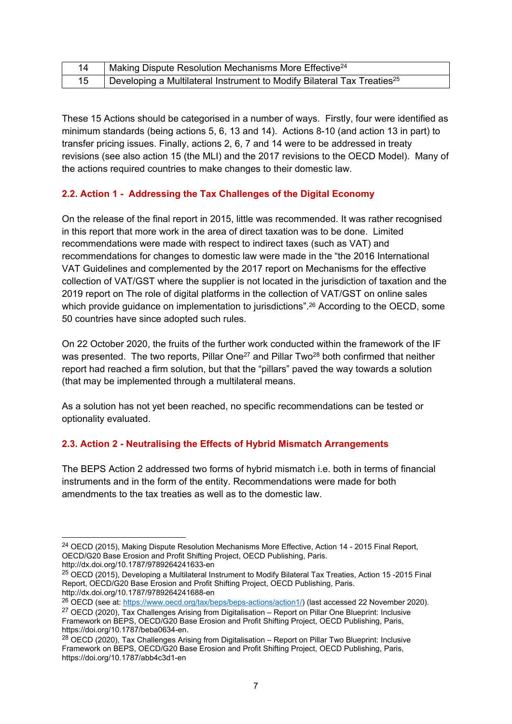| Making Dispute Resolution Mechanisms More Effective <sup>24</sup>                   |
|-------------------------------------------------------------------------------------|
| Developing a Multilateral Instrument to Modify Bilateral Tax Treaties <sup>25</sup> |

These 15 Actions should be categorised in a number of ways. Firstly, four were identified as minimum standards (being actions 5, 6, 13 and 14). Actions 8-10 (and action 13 in part) to transfer pricing issues. Finally, actions 2, 6, 7 and 14 were to be addressed in treaty revisions (see also action 15 (the MLI) and the 2017 revisions to the OECD Model). Many of the actions required countries to make changes to their domestic law.

# **2.2. Action 1 - Addressing the Tax Challenges of the Digital Economy**

On the release of the final report in 2015, little was recommended. It was rather recognised in this report that more work in the area of direct taxation was to be done. Limited recommendations were made with respect to indirect taxes (such as VAT) and recommendations for changes to domestic law were made in the "the 2016 International VAT Guidelines and complemented by the 2017 report on Mechanisms for the effective collection of VAT/GST where the supplier is not located in the jurisdiction of taxation and the 2019 report on The role of digital platforms in the collection of VAT/GST on online sales which provide guidance on implementation to jurisdictions".26 According to the OECD, some 50 countries have since adopted such rules.

On 22 October 2020, the fruits of the further work conducted within the framework of the IF was presented. The two reports, Pillar One<sup>27</sup> and Pillar Two<sup>28</sup> both confirmed that neither report had reached a firm solution, but that the "pillars" paved the way towards a solution (that may be implemented through a multilateral means.

As a solution has not yet been reached, no specific recommendations can be tested or optionality evaluated.

# **2.3. Action 2 - Neutralising the Effects of Hybrid Mismatch Arrangements**

The BEPS Action 2 addressed two forms of hybrid mismatch i.e. both in terms of financial instruments and in the form of the entity. Recommendations were made for both amendments to the tax treaties as well as to the domestic law.

-

<sup>24</sup> OECD (2015), Making Dispute Resolution Mechanisms More Effective, Action 14 - 2015 Final Report, OECD/G20 Base Erosion and Profit Shifting Project, OECD Publishing, Paris. http://dx.doi.org/10.1787/9789264241633-en

<sup>25</sup> OECD (2015), Developing a Multilateral Instrument to Modify Bilateral Tax Treaties, Action 15 -2015 Final Report, OECD/G20 Base Erosion and Profit Shifting Project, OECD Publishing, Paris. http://dx.doi.org/10.1787/9789264241688-en

<sup>&</sup>lt;sup>26</sup> OECD (see at: https://www.oecd.org/tax/beps/beps-actions/action1/) (last accessed 22 November 2020).

<sup>27</sup> OECD (2020), Tax Challenges Arising from Digitalisation – Report on Pillar One Blueprint: Inclusive Framework on BEPS, OECD/G20 Base Erosion and Profit Shifting Project, OECD Publishing, Paris, https://doi.org/10.1787/beba0634-en.

<sup>28</sup> OECD (2020), Tax Challenges Arising from Digitalisation – Report on Pillar Two Blueprint: Inclusive Framework on BEPS, OECD/G20 Base Erosion and Profit Shifting Project, OECD Publishing, Paris, https://doi.org/10.1787/abb4c3d1-en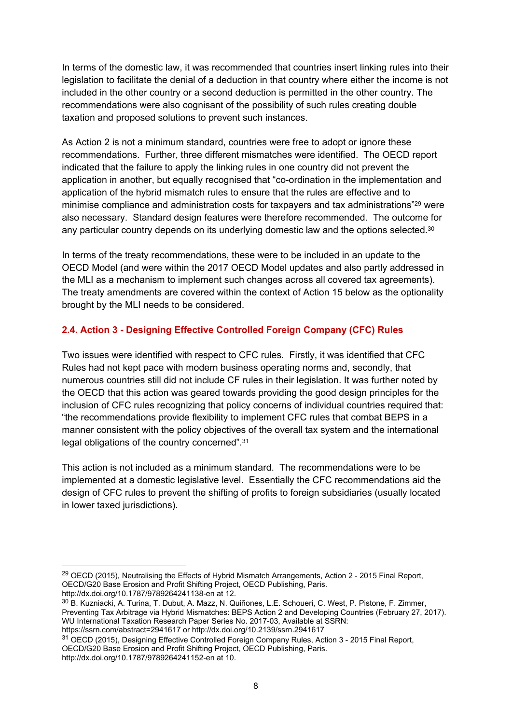In terms of the domestic law, it was recommended that countries insert linking rules into their legislation to facilitate the denial of a deduction in that country where either the income is not included in the other country or a second deduction is permitted in the other country. The recommendations were also cognisant of the possibility of such rules creating double taxation and proposed solutions to prevent such instances.

As Action 2 is not a minimum standard, countries were free to adopt or ignore these recommendations. Further, three different mismatches were identified. The OECD report indicated that the failure to apply the linking rules in one country did not prevent the application in another, but equally recognised that "co-ordination in the implementation and application of the hybrid mismatch rules to ensure that the rules are effective and to minimise compliance and administration costs for taxpayers and tax administrations"29 were also necessary. Standard design features were therefore recommended. The outcome for any particular country depends on its underlying domestic law and the options selected.<sup>30</sup>

In terms of the treaty recommendations, these were to be included in an update to the OECD Model (and were within the 2017 OECD Model updates and also partly addressed in the MLI as a mechanism to implement such changes across all covered tax agreements). The treaty amendments are covered within the context of Action 15 below as the optionality brought by the MLI needs to be considered.

# **2.4. Action 3 - Designing Effective Controlled Foreign Company (CFC) Rules**

Two issues were identified with respect to CFC rules. Firstly, it was identified that CFC Rules had not kept pace with modern business operating norms and, secondly, that numerous countries still did not include CF rules in their legislation. It was further noted by the OECD that this action was geared towards providing the good design principles for the inclusion of CFC rules recognizing that policy concerns of individual countries required that: "the recommendations provide flexibility to implement CFC rules that combat BEPS in a manner consistent with the policy objectives of the overall tax system and the international legal obligations of the country concerned".31

This action is not included as a minimum standard. The recommendations were to be implemented at a domestic legislative level. Essentially the CFC recommendations aid the design of CFC rules to prevent the shifting of profits to foreign subsidiaries (usually located in lower taxed jurisdictions).

 $\overline{a}$ 

31 OECD (2015), Designing Effective Controlled Foreign Company Rules, Action 3 - 2015 Final Report, OECD/G20 Base Erosion and Profit Shifting Project, OECD Publishing, Paris. http://dx.doi.org/10.1787/9789264241152-en at 10.

<sup>29</sup> OECD (2015), Neutralising the Effects of Hybrid Mismatch Arrangements, Action 2 - 2015 Final Report, OECD/G20 Base Erosion and Profit Shifting Project, OECD Publishing, Paris. http://dx.doi.org/10.1787/9789264241138-en at 12.

<sup>30</sup> B. Kuzniacki, A. Turina, T. Dubut, A. Mazz, N. Quiñones, L.E. Schoueri, C. West, P. Pistone, F. Zimmer, Preventing Tax Arbitrage via Hybrid Mismatches: BEPS Action 2 and Developing Countries (February 27, 2017). WU International Taxation Research Paper Series No. 2017-03, Available at SSRN: https://ssrn.com/abstract=2941617 or http://dx.doi.org/10.2139/ssrn.2941617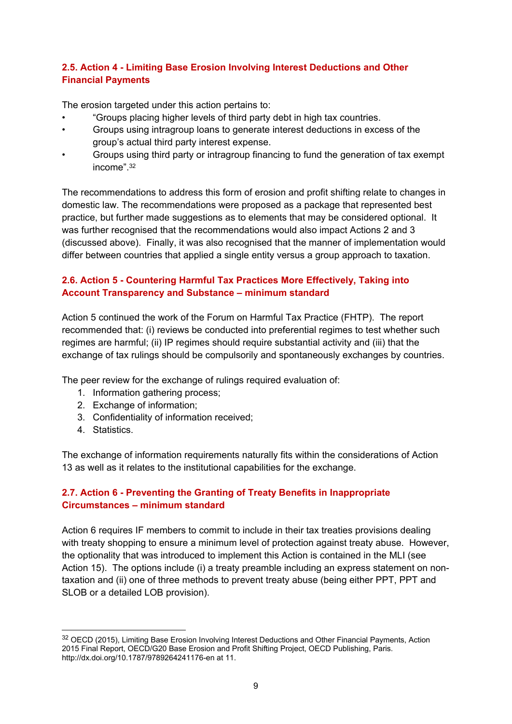# **2.5. Action 4 - Limiting Base Erosion Involving Interest Deductions and Other Financial Payments**

The erosion targeted under this action pertains to:

- "Groups placing higher levels of third party debt in high tax countries.
- Groups using intragroup loans to generate interest deductions in excess of the group's actual third party interest expense.
- Groups using third party or intragroup financing to fund the generation of tax exempt income".32

The recommendations to address this form of erosion and profit shifting relate to changes in domestic law. The recommendations were proposed as a package that represented best practice, but further made suggestions as to elements that may be considered optional. It was further recognised that the recommendations would also impact Actions 2 and 3 (discussed above). Finally, it was also recognised that the manner of implementation would differ between countries that applied a single entity versus a group approach to taxation.

# **2.6. Action 5 - Countering Harmful Tax Practices More Effectively, Taking into Account Transparency and Substance – minimum standard**

Action 5 continued the work of the Forum on Harmful Tax Practice (FHTP). The report recommended that: (i) reviews be conducted into preferential regimes to test whether such regimes are harmful; (ii) IP regimes should require substantial activity and (iii) that the exchange of tax rulings should be compulsorily and spontaneously exchanges by countries.

The peer review for the exchange of rulings required evaluation of:

- 1. Information gathering process;
- 2. Exchange of information;
- 3. Confidentiality of information received;
- 4. Statistics.

-

The exchange of information requirements naturally fits within the considerations of Action 13 as well as it relates to the institutional capabilities for the exchange.

# **2.7. Action 6 - Preventing the Granting of Treaty Benefits in Inappropriate Circumstances – minimum standard**

Action 6 requires IF members to commit to include in their tax treaties provisions dealing with treaty shopping to ensure a minimum level of protection against treaty abuse. However, the optionality that was introduced to implement this Action is contained in the MLI (see Action 15). The options include (i) a treaty preamble including an express statement on nontaxation and (ii) one of three methods to prevent treaty abuse (being either PPT, PPT and SLOB or a detailed LOB provision).

<sup>32</sup> OECD (2015), Limiting Base Erosion Involving Interest Deductions and Other Financial Payments, Action 2015 Final Report, OECD/G20 Base Erosion and Profit Shifting Project, OECD Publishing, Paris. http://dx.doi.org/10.1787/9789264241176-en at 11.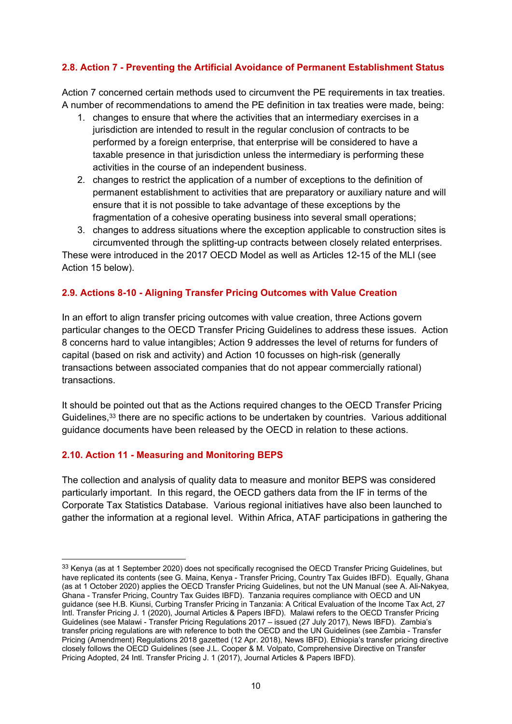#### **2.8. Action 7 - Preventing the Artificial Avoidance of Permanent Establishment Status**

Action 7 concerned certain methods used to circumvent the PE requirements in tax treaties. A number of recommendations to amend the PE definition in tax treaties were made, being:

- 1. changes to ensure that where the activities that an intermediary exercises in a jurisdiction are intended to result in the regular conclusion of contracts to be performed by a foreign enterprise, that enterprise will be considered to have a taxable presence in that jurisdiction unless the intermediary is performing these activities in the course of an independent business.
- 2. changes to restrict the application of a number of exceptions to the definition of permanent establishment to activities that are preparatory or auxiliary nature and will ensure that it is not possible to take advantage of these exceptions by the fragmentation of a cohesive operating business into several small operations;
- 3. changes to address situations where the exception applicable to construction sites is circumvented through the splitting-up contracts between closely related enterprises.

These were introduced in the 2017 OECD Model as well as Articles 12-15 of the MLI (see Action 15 below).

#### **2.9. Actions 8-10 - Aligning Transfer Pricing Outcomes with Value Creation**

In an effort to align transfer pricing outcomes with value creation, three Actions govern particular changes to the OECD Transfer Pricing Guidelines to address these issues. Action 8 concerns hard to value intangibles; Action 9 addresses the level of returns for funders of capital (based on risk and activity) and Action 10 focusses on high-risk (generally transactions between associated companies that do not appear commercially rational) transactions.

It should be pointed out that as the Actions required changes to the OECD Transfer Pricing Guidelines,33 there are no specific actions to be undertaken by countries. Various additional guidance documents have been released by the OECD in relation to these actions.

#### **2.10. Action 11 - Measuring and Monitoring BEPS**

1

The collection and analysis of quality data to measure and monitor BEPS was considered particularly important. In this regard, the OECD gathers data from the IF in terms of the Corporate Tax Statistics Database. Various regional initiatives have also been launched to gather the information at a regional level. Within Africa, ATAF participations in gathering the

<sup>33</sup> Kenya (as at 1 September 2020) does not specifically recognised the OECD Transfer Pricing Guidelines, but have replicated its contents (see G. Maina, Kenya - Transfer Pricing, Country Tax Guides IBFD). Equally, Ghana (as at 1 October 2020) applies the OECD Transfer Pricing Guidelines, but not the UN Manual (see A. Ali-Nakyea, Ghana - Transfer Pricing, Country Tax Guides IBFD). Tanzania requires compliance with OECD and UN guidance (see H.B. Kiunsi, Curbing Transfer Pricing in Tanzania: A Critical Evaluation of the Income Tax Act, 27 Intl. Transfer Pricing J. 1 (2020), Journal Articles & Papers IBFD). Malawi refers to the OECD Transfer Pricing Guidelines (see Malawi - Transfer Pricing Regulations 2017 – issued (27 July 2017), News IBFD). Zambia's transfer pricing regulations are with reference to both the OECD and the UN Guidelines (see Zambia - Transfer Pricing (Amendment) Regulations 2018 gazetted (12 Apr. 2018), News IBFD). Ethiopia's transfer pricing directive closely follows the OECD Guidelines (see J.L. Cooper & M. Volpato, Comprehensive Directive on Transfer Pricing Adopted, 24 Intl. Transfer Pricing J. 1 (2017), Journal Articles & Papers IBFD).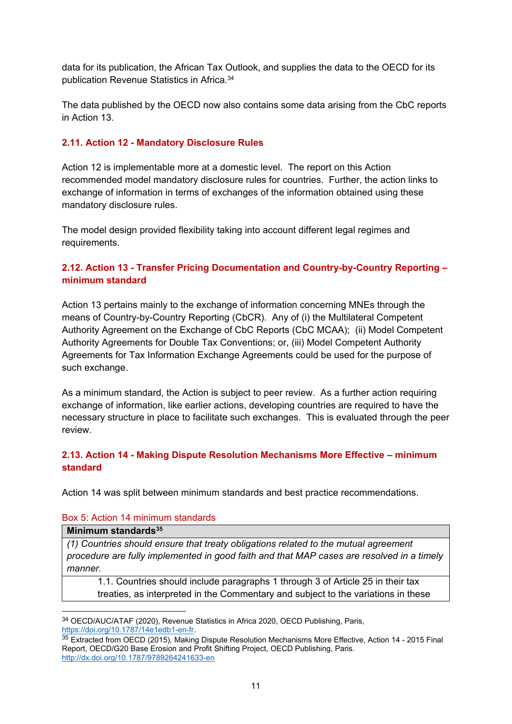data for its publication, the African Tax Outlook, and supplies the data to the OECD for its publication Revenue Statistics in Africa.34

The data published by the OECD now also contains some data arising from the CbC reports in Action 13.

#### **2.11. Action 12 - Mandatory Disclosure Rules**

Action 12 is implementable more at a domestic level. The report on this Action recommended model mandatory disclosure rules for countries. Further, the action links to exchange of information in terms of exchanges of the information obtained using these mandatory disclosure rules.

The model design provided flexibility taking into account different legal regimes and requirements.

# **2.12. Action 13 - Transfer Pricing Documentation and Country-by-Country Reporting – minimum standard**

Action 13 pertains mainly to the exchange of information concerning MNEs through the means of Country-by-Country Reporting (CbCR). Any of (i) the Multilateral Competent Authority Agreement on the Exchange of CbC Reports (CbC MCAA); (ii) Model Competent Authority Agreements for Double Tax Conventions; or, (iii) Model Competent Authority Agreements for Tax Information Exchange Agreements could be used for the purpose of such exchange.

As a minimum standard, the Action is subject to peer review. As a further action requiring exchange of information, like earlier actions, developing countries are required to have the necessary structure in place to facilitate such exchanges. This is evaluated through the peer review.

# **2.13. Action 14 - Making Dispute Resolution Mechanisms More Effective – minimum standard**

Action 14 was split between minimum standards and best practice recommendations.

#### Box 5: Action 14 minimum standards

| Minimum standards <sup>35</sup> |
|---------------------------------|
|---------------------------------|

 $\overline{a}$ 

*(1) Countries should ensure that treaty obligations related to the mutual agreement procedure are fully implemented in good faith and that MAP cases are resolved in a timely manner.* 

1.1. Countries should include paragraphs 1 through 3 of Article 25 in their tax treaties, as interpreted in the Commentary and subject to the variations in these

<sup>34</sup> OECD/AUC/ATAF (2020), Revenue Statistics in Africa 2020, OECD Publishing, Paris, https://doi.org/10.1787/14e1edb1-en-fr.<br><sup>35</sup> Extracted from OECD (2015), Making Dispute Resolution Mechanisms More Effective, Action 14 - 2015 Final

Report, OECD/G20 Base Erosion and Profit Shifting Project, OECD Publishing, Paris. http://dx.doi.org/10.1787/9789264241633-en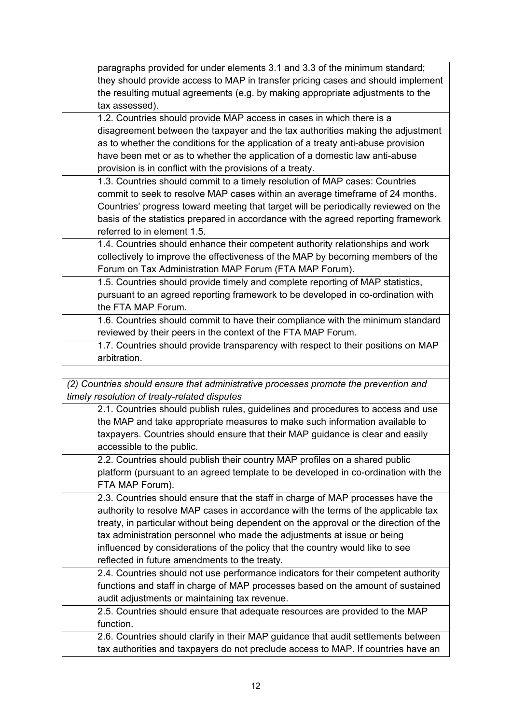| paragraphs provided for under elements 3.1 and 3.3 of the minimum standard;           |
|---------------------------------------------------------------------------------------|
|                                                                                       |
| they should provide access to MAP in transfer pricing cases and should implement      |
| the resulting mutual agreements (e.g. by making appropriate adjustments to the        |
| tax assessed).                                                                        |
| 1.2. Countries should provide MAP access in cases in which there is a                 |
| disagreement between the taxpayer and the tax authorities making the adjustment       |
| as to whether the conditions for the application of a treaty anti-abuse provision     |
| have been met or as to whether the application of a domestic law anti-abuse           |
| provision is in conflict with the provisions of a treaty.                             |
| 1.3. Countries should commit to a timely resolution of MAP cases: Countries           |
| commit to seek to resolve MAP cases within an average timeframe of 24 months.         |
| Countries' progress toward meeting that target will be periodically reviewed on the   |
| basis of the statistics prepared in accordance with the agreed reporting framework    |
| referred to in element 1.5.                                                           |
| 1.4. Countries should enhance their competent authority relationships and work        |
| collectively to improve the effectiveness of the MAP by becoming members of the       |
| Forum on Tax Administration MAP Forum (FTA MAP Forum).                                |
| 1.5. Countries should provide timely and complete reporting of MAP statistics,        |
| pursuant to an agreed reporting framework to be developed in co-ordination with       |
| the FTA MAP Forum.                                                                    |
| 1.6. Countries should commit to have their compliance with the minimum standard       |
| reviewed by their peers in the context of the FTA MAP Forum.                          |
| 1.7. Countries should provide transparency with respect to their positions on MAP     |
| arbitration.                                                                          |
|                                                                                       |
| (2) Countries should ensure that administrative processes promote the prevention and  |
|                                                                                       |
|                                                                                       |
| timely resolution of treaty-related disputes                                          |
| 2.1. Countries should publish rules, guidelines and procedures to access and use      |
| the MAP and take appropriate measures to make such information available to           |
| taxpayers. Countries should ensure that their MAP guidance is clear and easily        |
| accessible to the public.                                                             |
| 2.2. Countries should publish their country MAP profiles on a shared public           |
| platform (pursuant to an agreed template to be developed in co-ordination with the    |
| FTA MAP Forum).                                                                       |
| 2.3. Countries should ensure that the staff in charge of MAP processes have the       |
| authority to resolve MAP cases in accordance with the terms of the applicable tax     |
| treaty, in particular without being dependent on the approval or the direction of the |
| tax administration personnel who made the adjustments at issue or being               |
| influenced by considerations of the policy that the country would like to see         |
| reflected in future amendments to the treaty.                                         |
| 2.4. Countries should not use performance indicators for their competent authority    |
| functions and staff in charge of MAP processes based on the amount of sustained       |
| audit adjustments or maintaining tax revenue.                                         |
| 2.5. Countries should ensure that adequate resources are provided to the MAP          |
| function.                                                                             |
| 2.6. Countries should clarify in their MAP guidance that audit settlements between    |
| tax authorities and taxpayers do not preclude access to MAP. If countries have an     |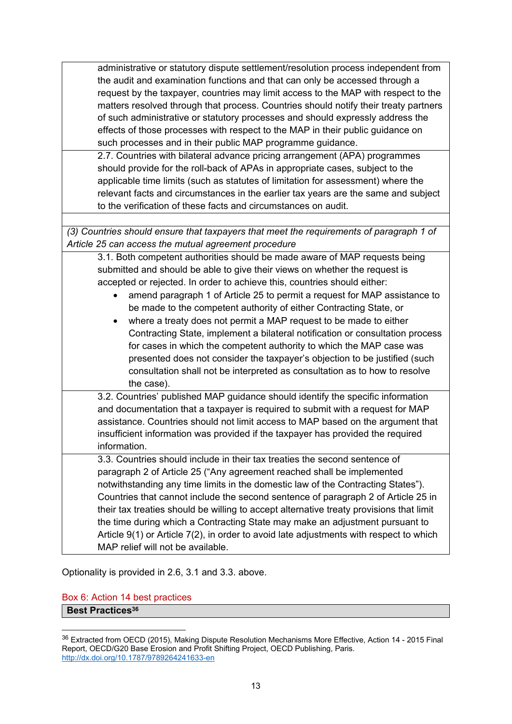| administrative or statutory dispute settlement/resolution process independent from   |
|--------------------------------------------------------------------------------------|
| the audit and examination functions and that can only be accessed through a          |
| request by the taxpayer, countries may limit access to the MAP with respect to the   |
| matters resolved through that process. Countries should notify their treaty partners |
| of such administrative or statutory processes and should expressly address the       |
| effects of those processes with respect to the MAP in their public guidance on       |
| such processes and in their public MAP programme guidance.                           |

2.7. Countries with bilateral advance pricing arrangement (APA) programmes should provide for the roll-back of APAs in appropriate cases, subject to the applicable time limits (such as statutes of limitation for assessment) where the relevant facts and circumstances in the earlier tax years are the same and subject to the verification of these facts and circumstances on audit.

*(3) Countries should ensure that taxpayers that meet the requirements of paragraph 1 of Article 25 can access the mutual agreement procedure* 

3.1. Both competent authorities should be made aware of MAP requests being submitted and should be able to give their views on whether the request is accepted or rejected. In order to achieve this, countries should either:

• amend paragraph 1 of Article 25 to permit a request for MAP assistance to be made to the competent authority of either Contracting State, or

where a treaty does not permit a MAP request to be made to either Contracting State, implement a bilateral notification or consultation process for cases in which the competent authority to which the MAP case was presented does not consider the taxpayer's objection to be justified (such consultation shall not be interpreted as consultation as to how to resolve the case).

3.2. Countries' published MAP guidance should identify the specific information and documentation that a taxpayer is required to submit with a request for MAP assistance. Countries should not limit access to MAP based on the argument that insufficient information was provided if the taxpayer has provided the required information.

3.3. Countries should include in their tax treaties the second sentence of paragraph 2 of Article 25 ("Any agreement reached shall be implemented notwithstanding any time limits in the domestic law of the Contracting States"). Countries that cannot include the second sentence of paragraph 2 of Article 25 in their tax treaties should be willing to accept alternative treaty provisions that limit the time during which a Contracting State may make an adjustment pursuant to Article 9(1) or Article 7(2), in order to avoid late adjustments with respect to which MAP relief will not be available.

Optionality is provided in 2.6, 3.1 and 3.3. above.

#### Box 6: Action 14 best practices **Best Practices<sup>36</sup>**

-

<sup>36</sup> Extracted from OECD (2015), Making Dispute Resolution Mechanisms More Effective, Action 14 - 2015 Final Report, OECD/G20 Base Erosion and Profit Shifting Project, OECD Publishing, Paris. http://dx.doi.org/10.1787/9789264241633-en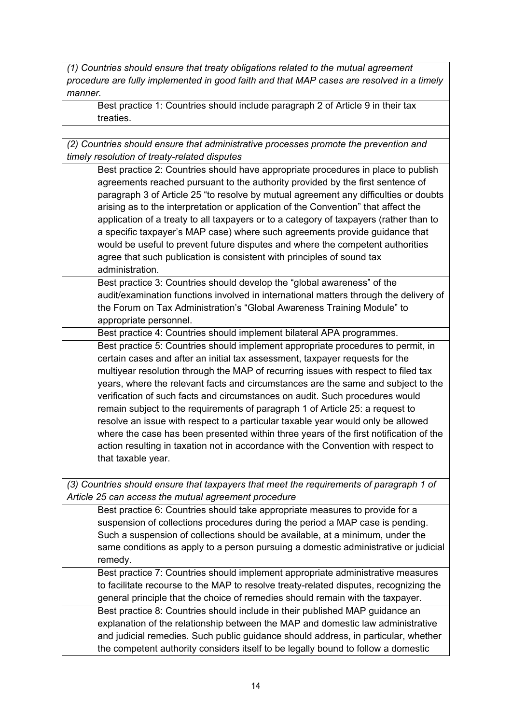*(1) Countries should ensure that treaty obligations related to the mutual agreement procedure are fully implemented in good faith and that MAP cases are resolved in a timely manner.* 

Best practice 1: Countries should include paragraph 2 of Article 9 in their tax treaties.

*(2) Countries should ensure that administrative processes promote the prevention and timely resolution of treaty-related disputes* 

Best practice 2: Countries should have appropriate procedures in place to publish agreements reached pursuant to the authority provided by the first sentence of paragraph 3 of Article 25 "to resolve by mutual agreement any difficulties or doubts arising as to the interpretation or application of the Convention" that affect the application of a treaty to all taxpayers or to a category of taxpayers (rather than to a specific taxpayer's MAP case) where such agreements provide guidance that would be useful to prevent future disputes and where the competent authorities agree that such publication is consistent with principles of sound tax administration.

Best practice 3: Countries should develop the "global awareness" of the audit/examination functions involved in international matters through the delivery of the Forum on Tax Administration's "Global Awareness Training Module" to appropriate personnel.

Best practice 4: Countries should implement bilateral APA programmes.

Best practice 5: Countries should implement appropriate procedures to permit, in certain cases and after an initial tax assessment, taxpayer requests for the multiyear resolution through the MAP of recurring issues with respect to filed tax years, where the relevant facts and circumstances are the same and subject to the verification of such facts and circumstances on audit. Such procedures would remain subject to the requirements of paragraph 1 of Article 25: a request to resolve an issue with respect to a particular taxable year would only be allowed where the case has been presented within three years of the first notification of the action resulting in taxation not in accordance with the Convention with respect to that taxable year.

*(3) Countries should ensure that taxpayers that meet the requirements of paragraph 1 of Article 25 can access the mutual agreement procedure* 

Best practice 6: Countries should take appropriate measures to provide for a suspension of collections procedures during the period a MAP case is pending. Such a suspension of collections should be available, at a minimum, under the same conditions as apply to a person pursuing a domestic administrative or judicial remedy.

Best practice 7: Countries should implement appropriate administrative measures to facilitate recourse to the MAP to resolve treaty-related disputes, recognizing the general principle that the choice of remedies should remain with the taxpayer.

Best practice 8: Countries should include in their published MAP guidance an explanation of the relationship between the MAP and domestic law administrative and judicial remedies. Such public guidance should address, in particular, whether the competent authority considers itself to be legally bound to follow a domestic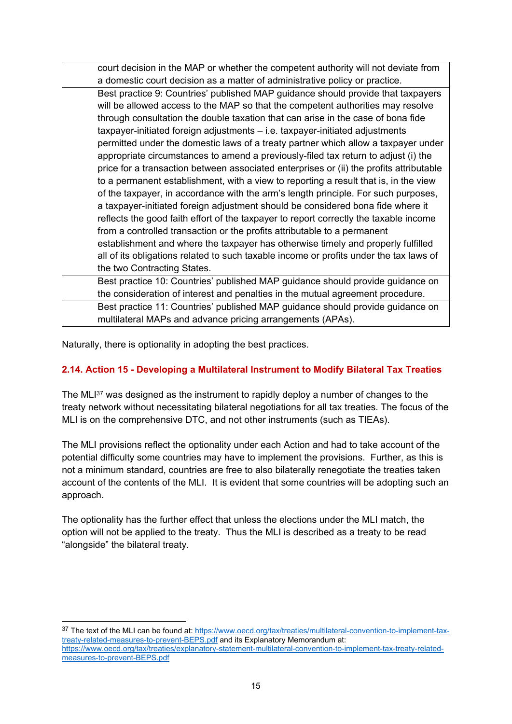|                                                                              | court decision in the MAP or whether the competent authority will not deviate from      |
|------------------------------------------------------------------------------|-----------------------------------------------------------------------------------------|
| a domestic court decision as a matter of administrative policy or practice.  |                                                                                         |
|                                                                              | Best practice 9: Countries' published MAP guidance should provide that taxpayers        |
|                                                                              | will be allowed access to the MAP so that the competent authorities may resolve         |
|                                                                              | through consultation the double taxation that can arise in the case of bona fide        |
| taxpayer-initiated foreign adjustments - i.e. taxpayer-initiated adjustments |                                                                                         |
|                                                                              | permitted under the domestic laws of a treaty partner which allow a taxpayer under      |
|                                                                              | appropriate circumstances to amend a previously-filed tax return to adjust (i) the      |
|                                                                              | price for a transaction between associated enterprises or (ii) the profits attributable |
|                                                                              | to a permanent establishment, with a view to reporting a result that is, in the view    |
|                                                                              | of the taxpayer, in accordance with the arm's length principle. For such purposes,      |
|                                                                              | a taxpayer-initiated foreign adjustment should be considered bona fide where it         |
|                                                                              | reflects the good faith effort of the taxpayer to report correctly the taxable income   |
| from a controlled transaction or the profits attributable to a permanent     |                                                                                         |
|                                                                              | establishment and where the taxpayer has otherwise timely and properly fulfilled        |
|                                                                              | all of its obligations related to such taxable income or profits under the tax laws of  |
| the two Contracting States.                                                  |                                                                                         |
|                                                                              | Best practice 10: Countries' published MAP guidance should provide guidance on          |
|                                                                              | the consideration of interest and penalties in the mutual agreement procedure.          |
|                                                                              | Best practice 11: Countries' published MAP guidance should provide guidance on          |
| multilateral MAPs and advance pricing arrangements (APAs).                   |                                                                                         |

Naturally, there is optionality in adopting the best practices.

1

# **2.14. Action 15 - Developing a Multilateral Instrument to Modify Bilateral Tax Treaties**

The MLI37 was designed as the instrument to rapidly deploy a number of changes to the treaty network without necessitating bilateral negotiations for all tax treaties. The focus of the MLI is on the comprehensive DTC, and not other instruments (such as TIEAs).

The MLI provisions reflect the optionality under each Action and had to take account of the potential difficulty some countries may have to implement the provisions. Further, as this is not a minimum standard, countries are free to also bilaterally renegotiate the treaties taken account of the contents of the MLI. It is evident that some countries will be adopting such an approach.

The optionality has the further effect that unless the elections under the MLI match, the option will not be applied to the treaty. Thus the MLI is described as a treaty to be read "alongside" the bilateral treaty.

37 The text of the MLI can be found at: https://www.oecd.org/tax/treaties/multilateral-convention-to-implement-taxtreaty-related-measures-to-prevent-BEPS.pdf and its Explanatory Memorandum at: https://www.oecd.org/tax/treaties/explanatory-statement-multilateral-convention-to-implement-tax-treaty-relatedmeasures-to-prevent-BEPS.pdf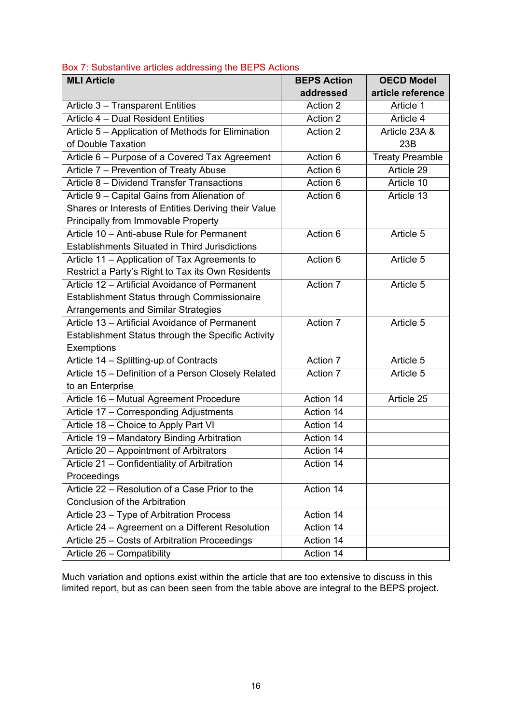|  |  | Box 7: Substantive articles addressing the BEPS Actions |  |  |  |  |
|--|--|---------------------------------------------------------|--|--|--|--|
|--|--|---------------------------------------------------------|--|--|--|--|

| <b>MLI Article</b>                                    | <b>BEPS Action</b> | <b>OECD Model</b>      |
|-------------------------------------------------------|--------------------|------------------------|
|                                                       | addressed          | article reference      |
| Article 3 - Transparent Entities                      | Action 2           | Article 1              |
| Article 4 - Dual Resident Entities                    | Action 2           | Article 4              |
| Article 5 - Application of Methods for Elimination    | Action 2           | Article 23A &          |
| of Double Taxation                                    |                    | 23B                    |
| Article 6 - Purpose of a Covered Tax Agreement        | Action 6           | <b>Treaty Preamble</b> |
| Article 7 - Prevention of Treaty Abuse                | Action 6           | Article 29             |
| Article 8 - Dividend Transfer Transactions            | Action 6           | Article 10             |
| Article 9 - Capital Gains from Alienation of          | Action 6           | Article 13             |
| Shares or Interests of Entities Deriving their Value  |                    |                        |
| Principally from Immovable Property                   |                    |                        |
| Article 10 - Anti-abuse Rule for Permanent            | Action 6           | Article 5              |
| <b>Establishments Situated in Third Jurisdictions</b> |                    |                        |
| Article 11 - Application of Tax Agreements to         | Action 6           | Article 5              |
| Restrict a Party's Right to Tax its Own Residents     |                    |                        |
| Article 12 – Artificial Avoidance of Permanent        | Action 7           | Article 5              |
| Establishment Status through Commissionaire           |                    |                        |
| <b>Arrangements and Similar Strategies</b>            |                    |                        |
| Article 13 – Artificial Avoidance of Permanent        | Action 7           | Article 5              |
| Establishment Status through the Specific Activity    |                    |                        |
| Exemptions                                            |                    |                        |
| Article 14 - Splitting-up of Contracts                | Action 7           | Article 5              |
| Article 15 - Definition of a Person Closely Related   | Action 7           | Article 5              |
| to an Enterprise                                      |                    |                        |
| Article 16 - Mutual Agreement Procedure               | Action 14          | Article 25             |
| Article 17 - Corresponding Adjustments                | Action 14          |                        |
| Article 18 - Choice to Apply Part VI                  | Action 14          |                        |
| Article 19 - Mandatory Binding Arbitration            | Action 14          |                        |
| Article 20 - Appointment of Arbitrators               | Action 14          |                        |
| Article 21 - Confidentiality of Arbitration           | Action 14          |                        |
| Proceedings                                           |                    |                        |
| Article 22 - Resolution of a Case Prior to the        | Action 14          |                        |
| Conclusion of the Arbitration                         |                    |                        |
| Article 23 – Type of Arbitration Process              | Action 14          |                        |
| Article 24 - Agreement on a Different Resolution      | Action 14          |                        |
| Article 25 - Costs of Arbitration Proceedings         | Action 14          |                        |
| Article 26 - Compatibility                            | Action 14          |                        |

Much variation and options exist within the article that are too extensive to discuss in this limited report, but as can been seen from the table above are integral to the BEPS project.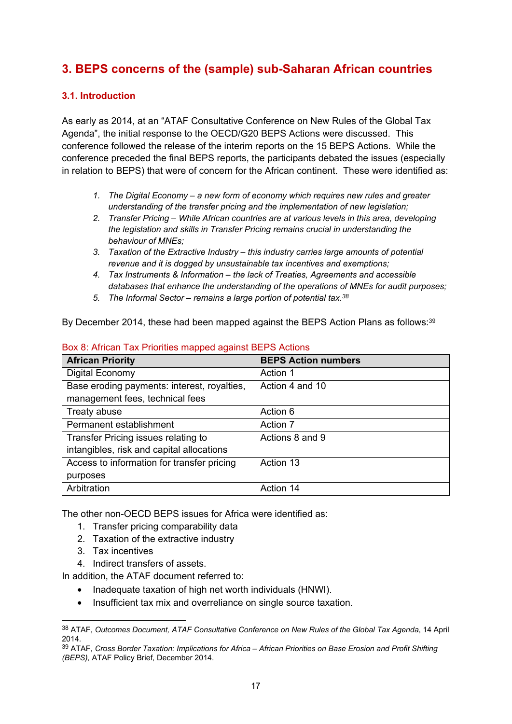# **3. BEPS concerns of the (sample) sub-Saharan African countries**

# **3.1. Introduction**

As early as 2014, at an "ATAF Consultative Conference on New Rules of the Global Tax Agenda", the initial response to the OECD/G20 BEPS Actions were discussed. This conference followed the release of the interim reports on the 15 BEPS Actions. While the conference preceded the final BEPS reports, the participants debated the issues (especially in relation to BEPS) that were of concern for the African continent. These were identified as:

- *1. The Digital Economy a new form of economy which requires new rules and greater understanding of the transfer pricing and the implementation of new legislation;*
- *2. Transfer Pricing While African countries are at various levels in this area, developing the legislation and skills in Transfer Pricing remains crucial in understanding the behaviour of MNEs;*
- *3. Taxation of the Extractive Industry this industry carries large amounts of potential revenue and it is dogged by unsustainable tax incentives and exemptions;*
- *4. Tax Instruments & Information the lack of Treaties, Agreements and accessible databases that enhance the understanding of the operations of MNEs for audit purposes;*
- *5. The Informal Sector remains a large portion of potential tax.38*

By December 2014, these had been mapped against the BEPS Action Plans as follows: 39

| <b>African Priority</b>                     | <b>BEPS Action numbers</b> |
|---------------------------------------------|----------------------------|
| Digital Economy                             | Action 1                   |
| Base eroding payments: interest, royalties, | Action 4 and 10            |
| management fees, technical fees             |                            |
| Treaty abuse                                | Action 6                   |
| Permanent establishment                     | Action 7                   |
| Transfer Pricing issues relating to         | Actions 8 and 9            |
| intangibles, risk and capital allocations   |                            |
| Access to information for transfer pricing  | Action 13                  |
| purposes                                    |                            |
| Arbitration                                 | Action 14                  |

#### Box 8: African Tax Priorities mapped against BEPS Actions

The other non-OECD BEPS issues for Africa were identified as:

- 1. Transfer pricing comparability data
- 2. Taxation of the extractive industry
- 3. Tax incentives

1

4. Indirect transfers of assets.

In addition, the ATAF document referred to:

- Inadequate taxation of high net worth individuals (HNWI).
- Insufficient tax mix and overreliance on single source taxation.

<sup>38</sup> ATAF, *Outcomes Document, ATAF Consultative Conference on New Rules of the Global Tax Agenda*, 14 April 2014.

<sup>39</sup> ATAF, *Cross Border Taxation: Implications for Africa – African Priorities on Base Erosion and Profit Shifting (BEPS),* ATAF Policy Brief, December 2014.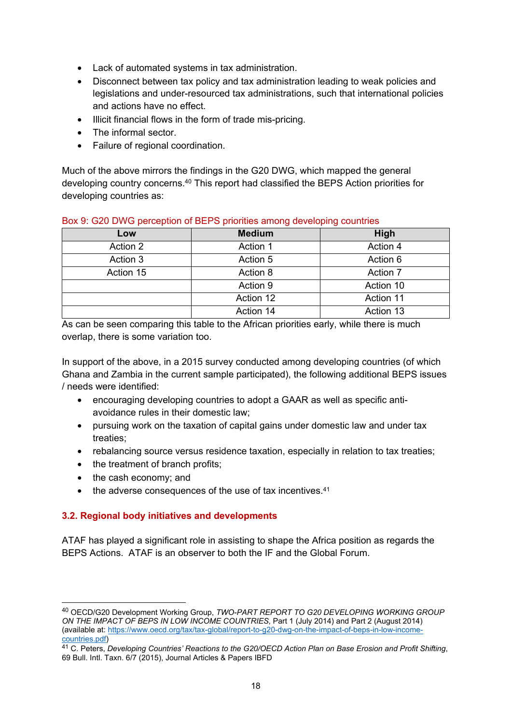- Lack of automated systems in tax administration.
- Disconnect between tax policy and tax administration leading to weak policies and legislations and under-resourced tax administrations, such that international policies and actions have no effect.
- Illicit financial flows in the form of trade mis-pricing.
- The informal sector.
- Failure of regional coordination.

Much of the above mirrors the findings in the G20 DWG, which mapped the general developing country concerns.40 This report had classified the BEPS Action priorities for developing countries as:

| Low       | <b>Medium</b> | High      |
|-----------|---------------|-----------|
| Action 2  | Action 1      | Action 4  |
| Action 3  | Action 5      | Action 6  |
| Action 15 | Action 8      | Action 7  |
|           | Action 9      | Action 10 |
|           | Action 12     | Action 11 |
|           | Action 14     | Action 13 |

#### Box 9: G20 DWG perception of BEPS priorities among developing countries

As can be seen comparing this table to the African priorities early, while there is much overlap, there is some variation too.

In support of the above, in a 2015 survey conducted among developing countries (of which Ghana and Zambia in the current sample participated), the following additional BEPS issues / needs were identified:

- encouraging developing countries to adopt a GAAR as well as specific antiavoidance rules in their domestic law;
- pursuing work on the taxation of capital gains under domestic law and under tax treaties;
- rebalancing source versus residence taxation, especially in relation to tax treaties;
- the treatment of branch profits;
- the cash economy; and

1

the adverse consequences of the use of tax incentives.<sup>41</sup>

# **3.2. Regional body initiatives and developments**

ATAF has played a significant role in assisting to shape the Africa position as regards the BEPS Actions. ATAF is an observer to both the IF and the Global Forum.

<sup>40</sup> OECD/G20 Development Working Group, *TWO-PART REPORT TO G20 DEVELOPING WORKING GROUP ON THE IMPACT OF BEPS IN LOW INCOME COUNTRIES*, Part 1 (July 2014) and Part 2 (August 2014) (available at: https://www.oecd.org/tax/tax-global/report-to-g20-dwg-on-the-impact-of-beps-in-low-incomecountries.pdf)

<sup>41</sup> C. Peters, *Developing Countries' Reactions to the G20/OECD Action Plan on Base Erosion and Profit Shifting*, 69 Bull. Intl. Taxn. 6/7 (2015), Journal Articles & Papers IBFD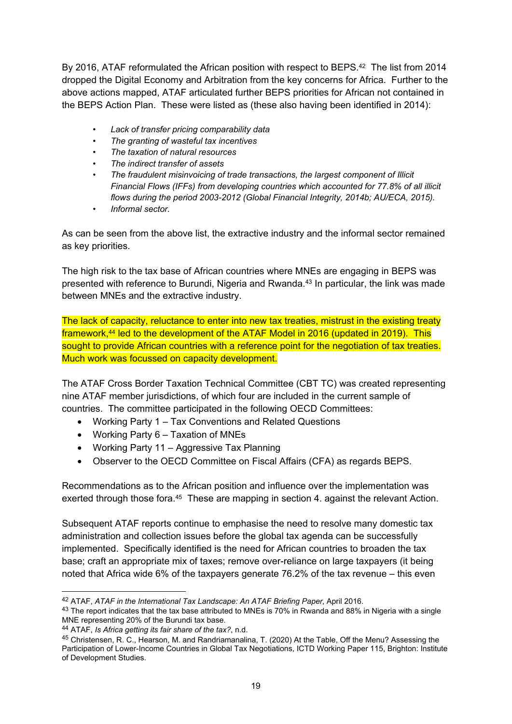By 2016, ATAF reformulated the African position with respect to BEPS.<sup>42</sup> The list from 2014 dropped the Digital Economy and Arbitration from the key concerns for Africa. Further to the above actions mapped, ATAF articulated further BEPS priorities for African not contained in the BEPS Action Plan. These were listed as (these also having been identified in 2014):

- *Lack of transfer pricing comparability data*
- *The granting of wasteful tax incentives*
- *The taxation of natural resources*
- *The indirect transfer of assets*
- *The fraudulent misinvoicing of trade transactions, the largest component of Illicit Financial Flows (IFFs) from developing countries which accounted for 77.8% of all illicit flows during the period 2003-2012 (Global Financial Integrity, 2014b; AU/ECA, 2015).*
- *Informal sector.*

As can be seen from the above list, the extractive industry and the informal sector remained as key priorities.

The high risk to the tax base of African countries where MNEs are engaging in BEPS was presented with reference to Burundi, Nigeria and Rwanda.<sup>43</sup> In particular, the link was made between MNEs and the extractive industry.

The lack of capacity, reluctance to enter into new tax treaties, mistrust in the existing treaty framework,44 led to the development of the ATAF Model in 2016 (updated in 2019). This sought to provide African countries with a reference point for the negotiation of tax treaties. Much work was focussed on capacity development.

The ATAF Cross Border Taxation Technical Committee (CBT TC) was created representing nine ATAF member jurisdictions, of which four are included in the current sample of countries. The committee participated in the following OECD Committees:

- Working Party 1 Tax Conventions and Related Questions
- Working Party 6 Taxation of MNEs
- Working Party 11 Aggressive Tax Planning
- Observer to the OECD Committee on Fiscal Affairs (CFA) as regards BEPS.

Recommendations as to the African position and influence over the implementation was exerted through those fora.<sup>45</sup> These are mapping in section 4. against the relevant Action.

Subsequent ATAF reports continue to emphasise the need to resolve many domestic tax administration and collection issues before the global tax agenda can be successfully implemented. Specifically identified is the need for African countries to broaden the tax base; craft an appropriate mix of taxes; remove over-reliance on large taxpayers (it being noted that Africa wide 6% of the taxpayers generate 76.2% of the tax revenue – this even

<sup>43</sup> The report indicates that the tax base attributed to MNEs is 70% in Rwanda and 88% in Nigeria with a single MNE representing 20% of the Burundi tax base.

 $\overline{a}$ 

<sup>42</sup> ATAF, *ATAF in the International Tax Landscape: An ATAF Briefing Paper*, April 2016.

<sup>44</sup> ATAF, *Is Africa getting its fair share of the tax?*, n.d.

<sup>45</sup> Christensen, R. C., Hearson, M. and Randriamanalina, T. (2020) At the Table, Off the Menu? Assessing the Participation of Lower-Income Countries in Global Tax Negotiations, ICTD Working Paper 115, Brighton: Institute of Development Studies.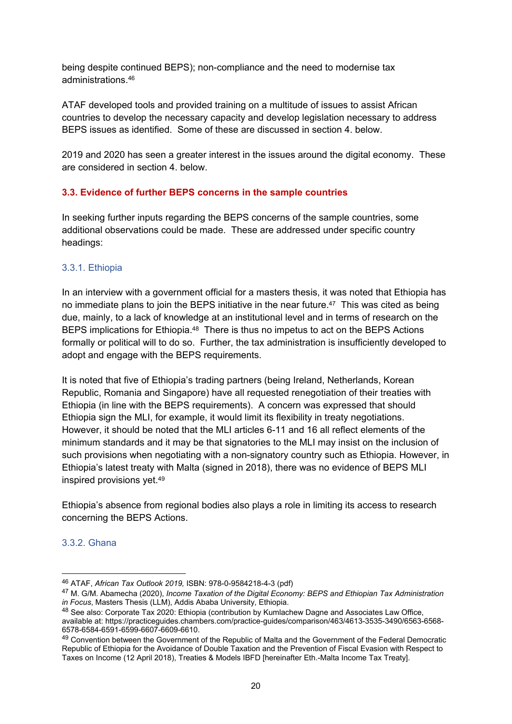being despite continued BEPS); non-compliance and the need to modernise tax administrations.46

ATAF developed tools and provided training on a multitude of issues to assist African countries to develop the necessary capacity and develop legislation necessary to address BEPS issues as identified. Some of these are discussed in section 4. below.

2019 and 2020 has seen a greater interest in the issues around the digital economy. These are considered in section 4. below.

#### **3.3. Evidence of further BEPS concerns in the sample countries**

In seeking further inputs regarding the BEPS concerns of the sample countries, some additional observations could be made. These are addressed under specific country headings:

#### 3.3.1. Ethiopia

In an interview with a government official for a masters thesis, it was noted that Ethiopia has no immediate plans to join the BEPS initiative in the near future.<sup>47</sup> This was cited as being due, mainly, to a lack of knowledge at an institutional level and in terms of research on the BEPS implications for Ethiopia.48 There is thus no impetus to act on the BEPS Actions formally or political will to do so. Further, the tax administration is insufficiently developed to adopt and engage with the BEPS requirements.

It is noted that five of Ethiopia's trading partners (being Ireland, Netherlands, Korean Republic, Romania and Singapore) have all requested renegotiation of their treaties with Ethiopia (in line with the BEPS requirements). A concern was expressed that should Ethiopia sign the MLI, for example, it would limit its flexibility in treaty negotiations. However, it should be noted that the MLI articles 6-11 and 16 all reflect elements of the minimum standards and it may be that signatories to the MLI may insist on the inclusion of such provisions when negotiating with a non-signatory country such as Ethiopia. However, in Ethiopia's latest treaty with Malta (signed in 2018), there was no evidence of BEPS MLI inspired provisions yet.49

Ethiopia's absence from regional bodies also plays a role in limiting its access to research concerning the BEPS Actions.

#### 3.3.2. Ghana

1

<sup>46</sup> ATAF, *African Tax Outlook 2019,* ISBN: 978-0-9584218-4-3 (pdf)

<sup>47</sup> M. G/M. Abamecha (2020), *Income Taxation of the Digital Economy: BEPS and Ethiopian Tax Administration in Focus*, Masters Thesis (LLM), Addis Ababa University, Ethiopia.

<sup>48</sup> See also: Corporate Tax 2020: Ethiopia (contribution by Kumlachew Dagne and Associates Law Office, available at: https://practiceguides.chambers.com/practice-guides/comparison/463/4613-3535-3490/6563-6568- 6578-6584-6591-6599-6607-6609-6610.

<sup>49</sup> Convention between the Government of the Republic of Malta and the Government of the Federal Democratic Republic of Ethiopia for the Avoidance of Double Taxation and the Prevention of Fiscal Evasion with Respect to Taxes on Income (12 April 2018), Treaties & Models IBFD [hereinafter Eth.-Malta Income Tax Treaty].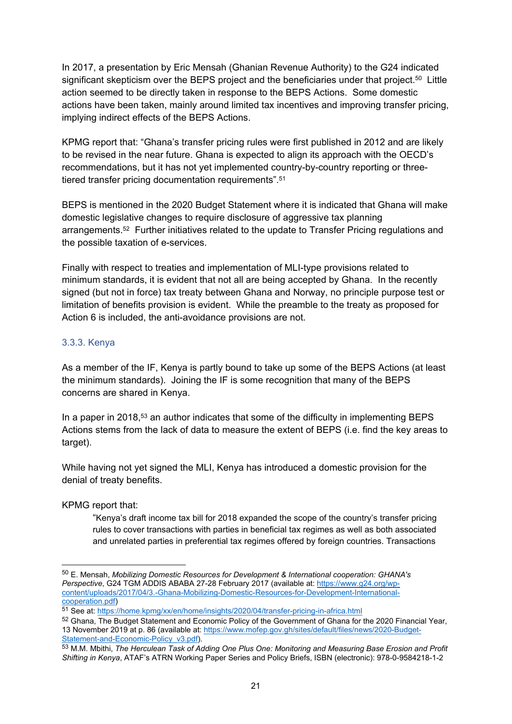In 2017, a presentation by Eric Mensah (Ghanian Revenue Authority) to the G24 indicated significant skepticism over the BEPS project and the beneficiaries under that project.<sup>50</sup> Little action seemed to be directly taken in response to the BEPS Actions. Some domestic actions have been taken, mainly around limited tax incentives and improving transfer pricing, implying indirect effects of the BEPS Actions.

KPMG report that: "Ghana's transfer pricing rules were first published in 2012 and are likely to be revised in the near future. Ghana is expected to align its approach with the OECD's recommendations, but it has not yet implemented country-by-country reporting or threetiered transfer pricing documentation requirements".51

BEPS is mentioned in the 2020 Budget Statement where it is indicated that Ghana will make domestic legislative changes to require disclosure of aggressive tax planning arrangements.52 Further initiatives related to the update to Transfer Pricing regulations and the possible taxation of e-services.

Finally with respect to treaties and implementation of MLI-type provisions related to minimum standards, it is evident that not all are being accepted by Ghana. In the recently signed (but not in force) tax treaty between Ghana and Norway, no principle purpose test or limitation of benefits provision is evident. While the preamble to the treaty as proposed for Action 6 is included, the anti-avoidance provisions are not.

#### 3.3.3. Kenya

As a member of the IF, Kenya is partly bound to take up some of the BEPS Actions (at least the minimum standards). Joining the IF is some recognition that many of the BEPS concerns are shared in Kenya.

In a paper in 2018,<sup>53</sup> an author indicates that some of the difficulty in implementing BEPS Actions stems from the lack of data to measure the extent of BEPS (i.e. find the key areas to target).

While having not yet signed the MLI, Kenya has introduced a domestic provision for the denial of treaty benefits.

#### KPMG report that:

-

"Kenya's draft income tax bill for 2018 expanded the scope of the country's transfer pricing rules to cover transactions with parties in beneficial tax regimes as well as both associated and unrelated parties in preferential tax regimes offered by foreign countries. Transactions

<sup>50</sup> E. Mensah, *Mobilizing Domestic Resources for Development & International cooperation: GHANA's Perspective*, G24 TGM ADDIS ABABA 27-28 February 2017 (available at: https://www.g24.org/wpcontent/uploads/2017/04/3.-Ghana-Mobilizing-Domestic-Resources-for-Development-International-

cooperation.pdf)<br>51 See at: https://home.kpmg/xx/en/home/insights/2020/04/transfer-pricing-in-africa.html

<sup>52</sup> Ghana, The Budget Statement and Economic Policy of the Government of Ghana for the 2020 Financial Year, 13 November 2019 at p. 86 (available at: https://www.mofep.gov.gh/sites/default/files/news/2020-Budget-Statement-and-Economic-Policy\_v3.pdf).

<sup>53</sup> M.M. Mbithi, *The Herculean Task of Adding One Plus One: Monitoring and Measuring Base Erosion and Profit Shifting in Kenya*, ATAF's ATRN Working Paper Series and Policy Briefs, ISBN (electronic): 978-0-9584218-1-2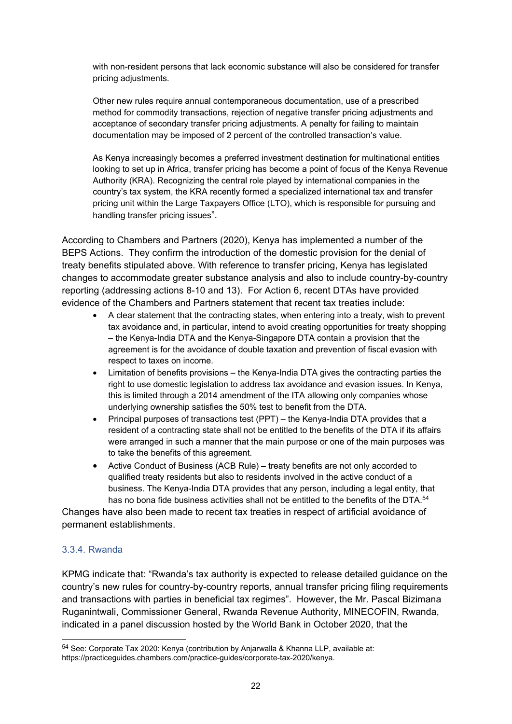with non-resident persons that lack economic substance will also be considered for transfer pricing adjustments.

Other new rules require annual contemporaneous documentation, use of a prescribed method for commodity transactions, rejection of negative transfer pricing adjustments and acceptance of secondary transfer pricing adjustments. A penalty for failing to maintain documentation may be imposed of 2 percent of the controlled transaction's value.

As Kenya increasingly becomes a preferred investment destination for multinational entities looking to set up in Africa, transfer pricing has become a point of focus of the Kenya Revenue Authority (KRA). Recognizing the central role played by international companies in the country's tax system, the KRA recently formed a specialized international tax and transfer pricing unit within the Large Taxpayers Office (LTO), which is responsible for pursuing and handling transfer pricing issues".

According to Chambers and Partners (2020), Kenya has implemented a number of the BEPS Actions. They confirm the introduction of the domestic provision for the denial of treaty benefits stipulated above. With reference to transfer pricing, Kenya has legislated changes to accommodate greater substance analysis and also to include country-by-country reporting (addressing actions 8-10 and 13). For Action 6, recent DTAs have provided evidence of the Chambers and Partners statement that recent tax treaties include:

- A clear statement that the contracting states, when entering into a treaty, wish to prevent tax avoidance and, in particular, intend to avoid creating opportunities for treaty shopping – the Kenya-India DTA and the Kenya-Singapore DTA contain a provision that the agreement is for the avoidance of double taxation and prevention of fiscal evasion with respect to taxes on income.
- Limitation of benefits provisions the Kenya-India DTA gives the contracting parties the right to use domestic legislation to address tax avoidance and evasion issues. In Kenya, this is limited through a 2014 amendment of the ITA allowing only companies whose underlying ownership satisfies the 50% test to benefit from the DTA.
- Principal purposes of transactions test (PPT) the Kenya-India DTA provides that a resident of a contracting state shall not be entitled to the benefits of the DTA if its affairs were arranged in such a manner that the main purpose or one of the main purposes was to take the benefits of this agreement.
- Active Conduct of Business (ACB Rule) treaty benefits are not only accorded to qualified treaty residents but also to residents involved in the active conduct of a business. The Kenya-India DTA provides that any person, including a legal entity, that has no bona fide business activities shall not be entitled to the benefits of the DTA.<sup>54</sup>

Changes have also been made to recent tax treaties in respect of artificial avoidance of permanent establishments.

# 3.3.4. Rwanda

 $\overline{a}$ 

KPMG indicate that: "Rwanda's tax authority is expected to release detailed guidance on the country's new rules for country-by-country reports, annual transfer pricing filing requirements and transactions with parties in beneficial tax regimes". However, the Mr. Pascal Bizimana Ruganintwali, Commissioner General, Rwanda Revenue Authority, MINECOFIN, Rwanda, indicated in a panel discussion hosted by the World Bank in October 2020, that the

<sup>54</sup> See: Corporate Tax 2020: Kenya (contribution by Anjarwalla & Khanna LLP, available at: https://practiceguides.chambers.com/practice-guides/corporate-tax-2020/kenya.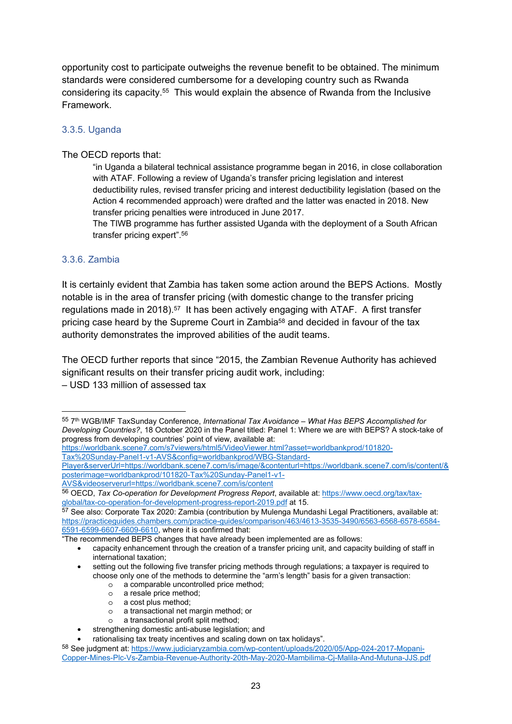opportunity cost to participate outweighs the revenue benefit to be obtained. The minimum standards were considered cumbersome for a developing country such as Rwanda considering its capacity.55 This would explain the absence of Rwanda from the Inclusive Framework.

#### 3.3.5. Uganda

#### The OECD reports that:

"in Uganda a bilateral technical assistance programme began in 2016, in close collaboration with ATAF. Following a review of Uganda's transfer pricing legislation and interest deductibility rules, revised transfer pricing and interest deductibility legislation (based on the Action 4 recommended approach) were drafted and the latter was enacted in 2018. New transfer pricing penalties were introduced in June 2017.

The TIWB programme has further assisted Uganda with the deployment of a South African transfer pricing expert".56

#### 3.3.6. Zambia

It is certainly evident that Zambia has taken some action around the BEPS Actions. Mostly notable is in the area of transfer pricing (with domestic change to the transfer pricing regulations made in 2018).57 It has been actively engaging with ATAF. A first transfer pricing case heard by the Supreme Court in Zambia58 and decided in favour of the tax authority demonstrates the improved abilities of the audit teams.

The OECD further reports that since "2015, the Zambian Revenue Authority has achieved significant results on their transfer pricing audit work, including: – USD 133 million of assessed tax

- o a comparable uncontrolled price method;
- o a resale price method;
- o a cost plus method;
- o a transactional net margin method; or
- o a transactional profit split method;
- strengthening domestic anti-abuse legislation; and
- rationalising tax treaty incentives and scaling down on tax holidays".

<sup>-</sup>55 7th WGB/IMF TaxSunday Conference, *International Tax Avoidance – What Has BEPS Accomplished for* 

*Developing Countries?*, 18 October 2020 in the Panel titled: Panel 1: Where we are with BEPS? A stock-take of progress from developing countries' point of view, available at:

https://worldbank.scene7.com/s7viewers/html5/VideoViewer.html?asset=worldbankprod/101820- Tax%20Sunday-Panel1-v1-AVS&config=worldbankprod/WBG-Standard-

Player&serverUrl=https://worldbank.scene7.com/is/image/&contenturl=https://worldbank.scene7.com/is/content/& posterimage=worldbankprod/101820-Tax%20Sunday-Panel1-v1-

<sup>&</sup>lt;sup>56</sup> OECD, Tax Co-operation for Development Progress Report, available at: https://www.oecd.org/tax/taxglobal/tax-co-operation-for-development-progress-report-2019.pdf at 15.

<sup>57</sup> See also: Corporate Tax 2020: Zambia (contribution by Mulenga Mundashi Legal Practitioners, available at: https://practiceguides.chambers.com/practice-guides/comparison/463/4613-3535-3490/6563-6568-6578-6584- 6591-6599-6607-6609-6610, where it is confirmed that:

<sup>&</sup>quot;The recommended BEPS changes that have already been implemented are as follows:

<sup>•</sup> capacity enhancement through the creation of a transfer pricing unit, and capacity building of staff in international taxation;

<sup>•</sup> setting out the following five transfer pricing methods through regulations; a taxpayer is required to choose only one of the methods to determine the "arm's length" basis for a given transaction:

<sup>58</sup> See judgment at: https://www.judiciaryzambia.com/wp-content/uploads/2020/05/App-024-2017-Mopani-Copper-Mines-Plc-Vs-Zambia-Revenue-Authority-20th-May-2020-Mambilima-Cj-Malila-And-Mutuna-JJS.pdf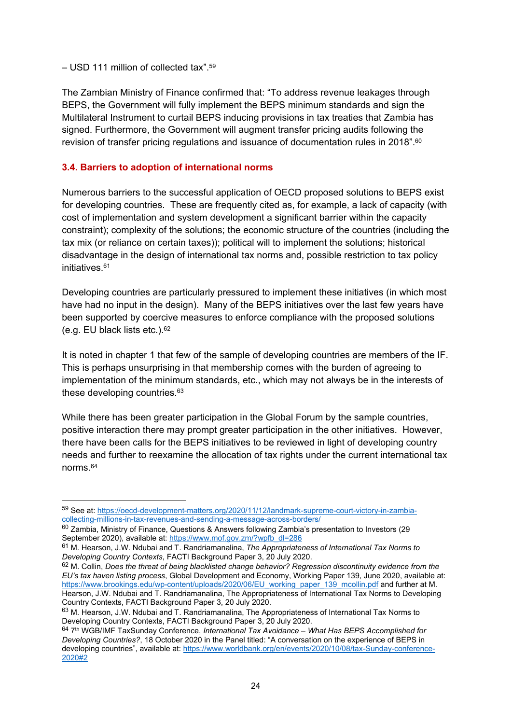– USD 111 million of collected tax".59

 $\overline{a}$ 

The Zambian Ministry of Finance confirmed that: "To address revenue leakages through BEPS, the Government will fully implement the BEPS minimum standards and sign the Multilateral Instrument to curtail BEPS inducing provisions in tax treaties that Zambia has signed. Furthermore, the Government will augment transfer pricing audits following the revision of transfer pricing regulations and issuance of documentation rules in 2018".60

#### **3.4. Barriers to adoption of international norms**

Numerous barriers to the successful application of OECD proposed solutions to BEPS exist for developing countries. These are frequently cited as, for example, a lack of capacity (with cost of implementation and system development a significant barrier within the capacity constraint); complexity of the solutions; the economic structure of the countries (including the tax mix (or reliance on certain taxes)); political will to implement the solutions; historical disadvantage in the design of international tax norms and, possible restriction to tax policy initiatives.61

Developing countries are particularly pressured to implement these initiatives (in which most have had no input in the design). Many of the BEPS initiatives over the last few years have been supported by coercive measures to enforce compliance with the proposed solutions (e.g. EU black lists etc.).62

It is noted in chapter 1 that few of the sample of developing countries are members of the IF. This is perhaps unsurprising in that membership comes with the burden of agreeing to implementation of the minimum standards, etc., which may not always be in the interests of these developing countries.63

While there has been greater participation in the Global Forum by the sample countries, positive interaction there may prompt greater participation in the other initiatives. However, there have been calls for the BEPS initiatives to be reviewed in light of developing country needs and further to reexamine the allocation of tax rights under the current international tax norms.64

<sup>59</sup> See at: https://oecd-development-matters.org/2020/11/12/landmark-supreme-court-victory-in-zambia-collecting-millions-in-tax-revenues-and-sending-a-message-across-borders/

 $60$  Zambia. Ministry of Finance, Questions & Answers following Zambia's presentation to Investors (29 September 2020), available at: https://www.mof.gov.zm/?wpfb\_dl=286

<sup>61</sup> M. Hearson, J.W. Ndubai and T. Randriamanalina, *The Appropriateness of International Tax Norms to Developing Country Contexts*, FACTI Background Paper 3, 20 July 2020.

<sup>62</sup> M. Collin, *Does the threat of being blacklisted change behavior? Regression discontinuity evidence from the EU's tax haven listing process*, Global Development and Economy, Working Paper 139, June 2020, available at: https://www.brookings.edu/wp-content/uploads/2020/06/EU\_working\_paper\_139\_mcollin.pdf and further at M. Hearson, J.W. Ndubai and T. Randriamanalina, The Appropriateness of International Tax Norms to Developing Country Contexts, FACTI Background Paper 3, 20 July 2020.

<sup>63</sup> M. Hearson, J.W. Ndubai and T. Randriamanalina, The Appropriateness of International Tax Norms to Developing Country Contexts, FACTI Background Paper 3, 20 July 2020.

<sup>64 7</sup>th WGB/IMF TaxSunday Conference, *International Tax Avoidance – What Has BEPS Accomplished for Developing Countries?*, 18 October 2020 in the Panel titled: "A conversation on the experience of BEPS in developing countries", available at: https://www.worldbank.org/en/events/2020/10/08/tax-Sunday-conference-2020#2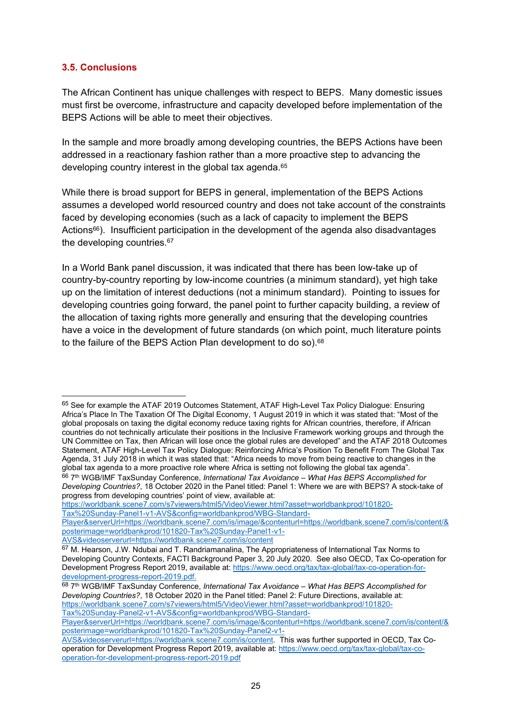#### **3.5. Conclusions**

1

The African Continent has unique challenges with respect to BEPS. Many domestic issues must first be overcome, infrastructure and capacity developed before implementation of the BEPS Actions will be able to meet their objectives.

In the sample and more broadly among developing countries, the BEPS Actions have been addressed in a reactionary fashion rather than a more proactive step to advancing the developing country interest in the global tax agenda.65

While there is broad support for BEPS in general, implementation of the BEPS Actions assumes a developed world resourced country and does not take account of the constraints faced by developing economies (such as a lack of capacity to implement the BEPS Actions<sup>66</sup>). Insufficient participation in the development of the agenda also disadvantages the developing countries.<sup>67</sup>

In a World Bank panel discussion, it was indicated that there has been low-take up of country-by-country reporting by low-income countries (a minimum standard), yet high take up on the limitation of interest deductions (not a minimum standard). Pointing to issues for developing countries going forward, the panel point to further capacity building, a review of the allocation of taxing rights more generally and ensuring that the developing countries have a voice in the development of future standards (on which point, much literature points to the failure of the BEPS Action Plan development to do so).<sup>68</sup>

<sup>&</sup>lt;sup>65</sup> See for example the ATAF 2019 Outcomes Statement, ATAF High-Level Tax Policy Dialogue: Ensuring Africa's Place In The Taxation Of The Digital Economy, 1 August 2019 in which it was stated that: "Most of the global proposals on taxing the digital economy reduce taxing rights for African countries, therefore, if African countries do not technically articulate their positions in the Inclusive Framework working groups and through the UN Committee on Tax, then African will lose once the global rules are developed" and the ATAF 2018 Outcomes Statement, ATAF High-Level Tax Policy Dialogue: Reinforcing Africa's Position To Benefit From The Global Tax Agenda, 31 July 2018 in which it was stated that: "Africa needs to move from being reactive to changes in the global tax agenda to a more proactive role where Africa is setting not following the global tax agenda". 66 7th WGB/IMF TaxSunday Conference, *International Tax Avoidance – What Has BEPS Accomplished for Developing Countries?*, 18 October 2020 in the Panel titled: Panel 1: Where we are with BEPS? A stock-take of progress from developing countries' point of view, available at:

https://worldbank.scene7.com/s7viewers/html5/VideoViewer.html?asset=worldbankprod/101820- Tax%20Sunday-Panel1-v1-AVS&config=worldbankprod/WBG-Standard-

Player&serverUrl=https://worldbank.scene7.com/is/image/&contenturl=https://worldbank.scene7.com/is/content/& posterimage=worldbankprod/101820-Tax%20Sunday-Panel1-v1-<br>AVS&videoserverurl=https://worldbank.scene7.com/is/content

 $67$  M. Hearson, J.W. Ndubai and T. Randriamanalina, The Appropriateness of International Tax Norms to Developing Country Contexts, FACTI Background Paper 3, 20 July 2020. See also OECD, Tax Co-operation for Development Progress Report 2019, available at: https://www.oecd.org/tax/tax-global/tax-co-operation-fordevelopment-progress-report-2019.pdf.

<sup>68 7</sup>th WGB/IMF TaxSunday Conference, *International Tax Avoidance – What Has BEPS Accomplished for Developing Countries?*, 18 October 2020 in the Panel titled: Panel 2: Future Directions, available at: https://worldbank.scene7.com/s7viewers/html5/VideoViewer.html?asset=worldbankprod/101820- Tax%20Sunday-Panel2-v1-AVS&config=worldbankprod/WBG-Standard-

Player&serverUrl=https://worldbank.scene7.com/is/image/&contenturl=https://worldbank.scene7.com/is/content/& posterimage=worldbankprod/101820-Tax%20Sunday-Panel2-v1-

AVS&videoserverurl=https://worldbank.scene7.com/is/content. This was further supported in OECD, Tax Cooperation for Development Progress Report 2019, available at: https://www.oecd.org/tax/tax-global/tax-cooperation-for-development-progress-report-2019.pdf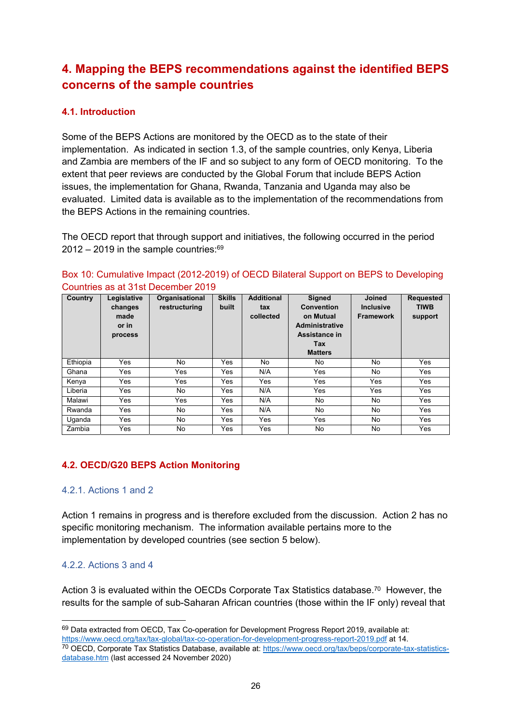# **4. Mapping the BEPS recommendations against the identified BEPS concerns of the sample countries**

# **4.1. Introduction**

Some of the BEPS Actions are monitored by the OECD as to the state of their implementation. As indicated in section 1.3, of the sample countries, only Kenya, Liberia and Zambia are members of the IF and so subject to any form of OECD monitoring. To the extent that peer reviews are conducted by the Global Forum that include BEPS Action issues, the implementation for Ghana, Rwanda, Tanzania and Uganda may also be evaluated. Limited data is available as to the implementation of the recommendations from the BEPS Actions in the remaining countries.

The OECD report that through support and initiatives, the following occurred in the period  $2012 - 2019$  in the sample countries: $69$ 

| Box 10: Cumulative Impact (2012-2019) of OECD Bilateral Support on BEPS to Developing |  |
|---------------------------------------------------------------------------------------|--|
| Countries as at 31st December 2019                                                    |  |

| Country  | Legislative<br>changes<br>made<br>or in<br>process | Organisational<br>restructuring | <b>Skills</b><br>built | <b>Additional</b><br>tax<br>collected | <b>Signed</b><br>Convention<br>on Mutual<br>Administrative<br>Assistance in<br>Tax<br><b>Matters</b> | <b>Joined</b><br><b>Inclusive</b><br><b>Framework</b> | <b>Requested</b><br><b>TIWB</b><br>support |
|----------|----------------------------------------------------|---------------------------------|------------------------|---------------------------------------|------------------------------------------------------------------------------------------------------|-------------------------------------------------------|--------------------------------------------|
| Ethiopia | Yes                                                | No                              | Yes                    | No                                    | No                                                                                                   | No                                                    | Yes                                        |
| Ghana    | Yes                                                | Yes                             | Yes                    | N/A                                   | Yes                                                                                                  | No                                                    | Yes                                        |
| Kenya    | Yes                                                | Yes                             | Yes                    | Yes                                   | Yes                                                                                                  | Yes                                                   | Yes                                        |
| Liberia  | Yes                                                | No                              | Yes                    | N/A                                   | Yes                                                                                                  | Yes                                                   | Yes                                        |
| Malawi   | Yes                                                | Yes                             | Yes                    | N/A                                   | No                                                                                                   | No.                                                   | Yes                                        |
| Rwanda   | Yes                                                | No                              | Yes                    | N/A                                   | No.                                                                                                  | No                                                    | Yes                                        |
| Uganda   | Yes                                                | No                              | Yes                    | Yes                                   | Yes                                                                                                  | No                                                    | Yes                                        |
| Zambia   | Yes                                                | No.                             | Yes                    | Yes                                   | No.                                                                                                  | No                                                    | Yes                                        |

# **4.2. OECD/G20 BEPS Action Monitoring**

#### 4.2.1. Actions 1 and 2

Action 1 remains in progress and is therefore excluded from the discussion. Action 2 has no specific monitoring mechanism. The information available pertains more to the implementation by developed countries (see section 5 below).

# 4.2.2. Actions 3 and 4

1

Action 3 is evaluated within the OECDs Corporate Tax Statistics database.<sup>70</sup> However, the results for the sample of sub-Saharan African countries (those within the IF only) reveal that

 $69$  Data extracted from OECD. Tax Co-operation for Development Progress Report 2019, available at: https://www.oecd.org/tax/tax-global/tax-co-operation-for-development-progress-report-2019.pdf at 14.

<sup>70</sup> OECD, Corporate Tax Statistics Database, available at: https://www.oecd.org/tax/beps/corporate-tax-statisticsdatabase.htm (last accessed 24 November 2020)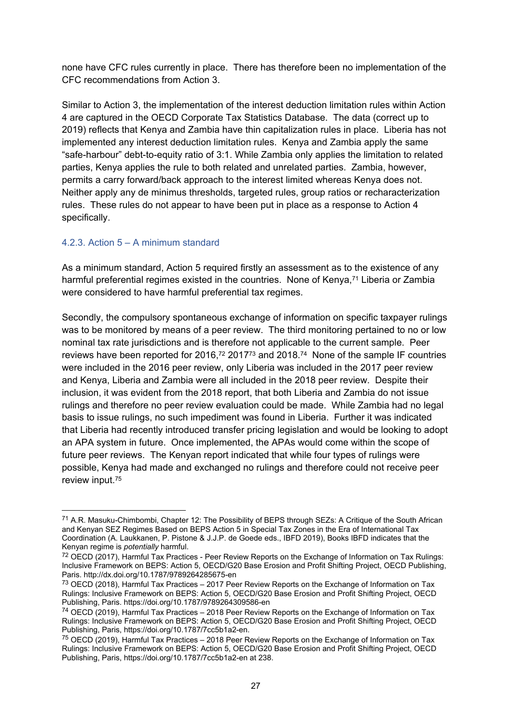none have CFC rules currently in place. There has therefore been no implementation of the CFC recommendations from Action 3.

Similar to Action 3, the implementation of the interest deduction limitation rules within Action 4 are captured in the OECD Corporate Tax Statistics Database. The data (correct up to 2019) reflects that Kenya and Zambia have thin capitalization rules in place. Liberia has not implemented any interest deduction limitation rules. Kenya and Zambia apply the same "safe-harbour" debt-to-equity ratio of 3:1. While Zambia only applies the limitation to related parties, Kenya applies the rule to both related and unrelated parties. Zambia, however, permits a carry forward/back approach to the interest limited whereas Kenya does not. Neither apply any de minimus thresholds, targeted rules, group ratios or recharacterization rules. These rules do not appear to have been put in place as a response to Action 4 specifically.

#### 4.2.3. Action 5 – A minimum standard

1

As a minimum standard, Action 5 required firstly an assessment as to the existence of any harmful preferential regimes existed in the countries. None of Kenya,<sup>71</sup> Liberia or Zambia were considered to have harmful preferential tax regimes.

Secondly, the compulsory spontaneous exchange of information on specific taxpayer rulings was to be monitored by means of a peer review. The third monitoring pertained to no or low nominal tax rate jurisdictions and is therefore not applicable to the current sample. Peer reviews have been reported for 2016,72 201773 and 2018.74 None of the sample IF countries were included in the 2016 peer review, only Liberia was included in the 2017 peer review and Kenya, Liberia and Zambia were all included in the 2018 peer review. Despite their inclusion, it was evident from the 2018 report, that both Liberia and Zambia do not issue rulings and therefore no peer review evaluation could be made. While Zambia had no legal basis to issue rulings, no such impediment was found in Liberia. Further it was indicated that Liberia had recently introduced transfer pricing legislation and would be looking to adopt an APA system in future. Once implemented, the APAs would come within the scope of future peer reviews. The Kenyan report indicated that while four types of rulings were possible, Kenya had made and exchanged no rulings and therefore could not receive peer review input.75

<sup>71</sup> A.R. Masuku-Chimbombi, Chapter 12: The Possibility of BEPS through SEZs: A Critique of the South African and Kenyan SEZ Regimes Based on BEPS Action 5 in Special Tax Zones in the Era of International Tax Coordination (A. Laukkanen, P. Pistone & J.J.P. de Goede eds., IBFD 2019), Books IBFD indicates that the Kenyan regime is *potentially* harmful.

<sup>72</sup> OECD (2017), Harmful Tax Practices - Peer Review Reports on the Exchange of Information on Tax Rulings: Inclusive Framework on BEPS: Action 5, OECD/G20 Base Erosion and Profit Shifting Project, OECD Publishing, Paris. http://dx.doi.org/10.1787/9789264285675-en

<sup>73</sup> OECD (2018), Harmful Tax Practices – 2017 Peer Review Reports on the Exchange of Information on Tax Rulings: Inclusive Framework on BEPS: Action 5, OECD/G20 Base Erosion and Profit Shifting Project, OECD Publishing, Paris. https://doi.org/10.1787/9789264309586-en

<sup>74</sup> OECD (2019), Harmful Tax Practices – 2018 Peer Review Reports on the Exchange of Information on Tax Rulings: Inclusive Framework on BEPS: Action 5, OECD/G20 Base Erosion and Profit Shifting Project, OECD Publishing, Paris, https://doi.org/10.1787/7cc5b1a2-en.

<sup>75</sup> OECD (2019), Harmful Tax Practices – 2018 Peer Review Reports on the Exchange of Information on Tax Rulings: Inclusive Framework on BEPS: Action 5, OECD/G20 Base Erosion and Profit Shifting Project, OECD Publishing, Paris, https://doi.org/10.1787/7cc5b1a2-en at 238.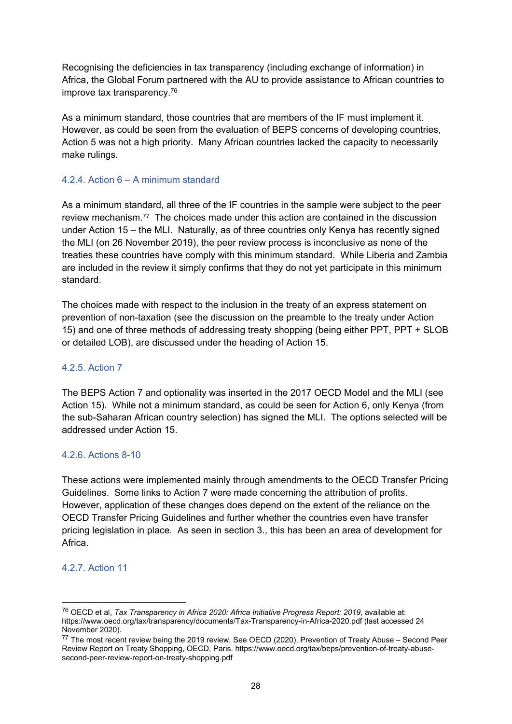Recognising the deficiencies in tax transparency (including exchange of information) in Africa, the Global Forum partnered with the AU to provide assistance to African countries to improve tax transparency.76

As a minimum standard, those countries that are members of the IF must implement it. However, as could be seen from the evaluation of BEPS concerns of developing countries, Action 5 was not a high priority. Many African countries lacked the capacity to necessarily make rulings.

#### 4.2.4. Action 6 – A minimum standard

As a minimum standard, all three of the IF countries in the sample were subject to the peer review mechanism.77 The choices made under this action are contained in the discussion under Action 15 – the MLI. Naturally, as of three countries only Kenya has recently signed the MLI (on 26 November 2019), the peer review process is inconclusive as none of the treaties these countries have comply with this minimum standard. While Liberia and Zambia are included in the review it simply confirms that they do not yet participate in this minimum standard.

The choices made with respect to the inclusion in the treaty of an express statement on prevention of non-taxation (see the discussion on the preamble to the treaty under Action 15) and one of three methods of addressing treaty shopping (being either PPT, PPT + SLOB or detailed LOB), are discussed under the heading of Action 15.

#### 4.2.5. Action 7

The BEPS Action 7 and optionality was inserted in the 2017 OECD Model and the MLI (see Action 15). While not a minimum standard, as could be seen for Action 6, only Kenya (from the sub-Saharan African country selection) has signed the MLI. The options selected will be addressed under Action 15.

#### 4.2.6. Actions 8-10

These actions were implemented mainly through amendments to the OECD Transfer Pricing Guidelines. Some links to Action 7 were made concerning the attribution of profits. However, application of these changes does depend on the extent of the reliance on the OECD Transfer Pricing Guidelines and further whether the countries even have transfer pricing legislation in place. As seen in section 3., this has been an area of development for Africa.

#### 4.2.7. Action 11

1

<sup>76</sup> OECD et al, *Tax Transparency in Africa 2020: Africa Initiative Progress Report: 2019*, available at: https://www.oecd.org/tax/transparency/documents/Tax-Transparency-in-Africa-2020.pdf (last accessed 24 November 2020).

<sup>77</sup> The most recent review being the 2019 review. See OECD (2020), Prevention of Treaty Abuse – Second Peer Review Report on Treaty Shopping, OECD, Paris. https://www.oecd.org/tax/beps/prevention-of-treaty-abusesecond-peer-review-report-on-treaty-shopping.pdf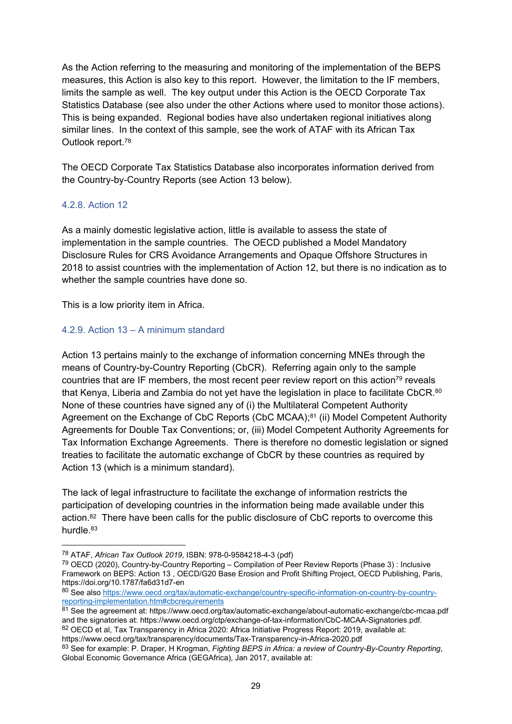As the Action referring to the measuring and monitoring of the implementation of the BEPS measures, this Action is also key to this report. However, the limitation to the IF members, limits the sample as well. The key output under this Action is the OECD Corporate Tax Statistics Database (see also under the other Actions where used to monitor those actions). This is being expanded. Regional bodies have also undertaken regional initiatives along similar lines. In the context of this sample, see the work of ATAF with its African Tax Outlook report.78

The OECD Corporate Tax Statistics Database also incorporates information derived from the Country-by-Country Reports (see Action 13 below).

# 4.2.8. Action 12

1

As a mainly domestic legislative action, little is available to assess the state of implementation in the sample countries. The OECD published a Model Mandatory Disclosure Rules for CRS Avoidance Arrangements and Opaque Offshore Structures in 2018 to assist countries with the implementation of Action 12, but there is no indication as to whether the sample countries have done so.

This is a low priority item in Africa.

# 4.2.9. Action 13 – A minimum standard

Action 13 pertains mainly to the exchange of information concerning MNEs through the means of Country-by-Country Reporting (CbCR). Referring again only to the sample countries that are IF members, the most recent peer review report on this action<sup>79</sup> reveals that Kenya, Liberia and Zambia do not yet have the legislation in place to facilitate CbCR.<sup>80</sup> None of these countries have signed any of (i) the Multilateral Competent Authority Agreement on the Exchange of CbC Reports (CbC MCAA);81 (ii) Model Competent Authority Agreements for Double Tax Conventions; or, (iii) Model Competent Authority Agreements for Tax Information Exchange Agreements. There is therefore no domestic legislation or signed treaties to facilitate the automatic exchange of CbCR by these countries as required by Action 13 (which is a minimum standard).

The lack of legal infrastructure to facilitate the exchange of information restricts the participation of developing countries in the information being made available under this action.82 There have been calls for the public disclosure of CbC reports to overcome this hurdle.<sup>83</sup>

<sup>78</sup> ATAF, *African Tax Outlook 2019*, ISBN: 978-0-9584218-4-3 (pdf)

<sup>79</sup> OECD (2020), Country-by-Country Reporting – Compilation of Peer Review Reports (Phase 3) : Inclusive Framework on BEPS: Action 13 , OECD/G20 Base Erosion and Profit Shifting Project, OECD Publishing, Paris, https://doi.org/10.1787/fa6d31d7-en

<sup>80</sup> See also https://www.oecd.org/tax/automatic-exchange/country-specific-information-on-country-by-countryreporting-implementation.htm#cbcrequirements<br>81 See the agreement at: https://www.oecd.org/tax/automatic-exchange/about-automatic-exchange/cbc-mcaa.pdf

and the signatories at: https://www.oecd.org/ctp/exchange-of-tax-information/CbC-MCAA-Signatories.pdf. 82 OECD et al, Tax Transparency in Africa 2020: Africa Initiative Progress Report: 2019, available at: https://www.oecd.org/tax/transparency/documents/Tax-Transparency-in-Africa-2020.pdf

<sup>83</sup> See for example: P. Draper, H Krogman, *Fighting BEPS in Africa: a review of Country-By-Country Reporting*, Global Economic Governance Africa (GEGAfrica), Jan 2017, available at: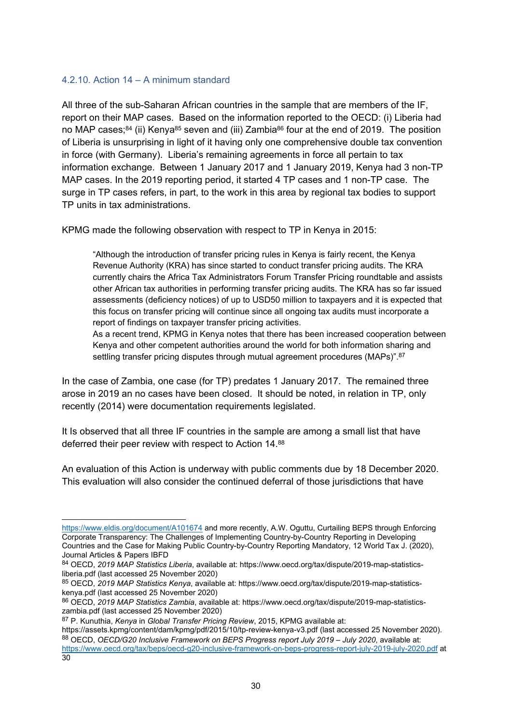#### 4.2.10. Action 14 – A minimum standard

All three of the sub-Saharan African countries in the sample that are members of the IF, report on their MAP cases. Based on the information reported to the OECD: (i) Liberia had no MAP cases;<sup>84</sup> (ii) Kenya<sup>85</sup> seven and (iii) Zambia<sup>86</sup> four at the end of 2019. The position of Liberia is unsurprising in light of it having only one comprehensive double tax convention in force (with Germany). Liberia's remaining agreements in force all pertain to tax information exchange. Between 1 January 2017 and 1 January 2019, Kenya had 3 non-TP MAP cases. In the 2019 reporting period, it started 4 TP cases and 1 non-TP case. The surge in TP cases refers, in part, to the work in this area by regional tax bodies to support TP units in tax administrations.

KPMG made the following observation with respect to TP in Kenya in 2015:

"Although the introduction of transfer pricing rules in Kenya is fairly recent, the Kenya Revenue Authority (KRA) has since started to conduct transfer pricing audits. The KRA currently chairs the Africa Tax Administrators Forum Transfer Pricing roundtable and assists other African tax authorities in performing transfer pricing audits. The KRA has so far issued assessments (deficiency notices) of up to USD50 million to taxpayers and it is expected that this focus on transfer pricing will continue since all ongoing tax audits must incorporate a report of findings on taxpayer transfer pricing activities.

As a recent trend, KPMG in Kenya notes that there has been increased cooperation between Kenya and other competent authorities around the world for both information sharing and settling transfer pricing disputes through mutual agreement procedures (MAPs)".<sup>87</sup>

In the case of Zambia, one case (for TP) predates 1 January 2017. The remained three arose in 2019 an no cases have been closed. It should be noted, in relation in TP, only recently (2014) were documentation requirements legislated.

It Is observed that all three IF countries in the sample are among a small list that have deferred their peer review with respect to Action 14.88

An evaluation of this Action is underway with public comments due by 18 December 2020. This evaluation will also consider the continued deferral of those jurisdictions that have

87 P. Kunuthia, *Kenya* in *Global Transfer Pricing Review*, 2015, KPMG available at:

 $\overline{a}$ 

https://www.eldis.org/document/A101674 and more recently, A.W. Oguttu, Curtailing BEPS through Enforcing Corporate Transparency: The Challenges of Implementing Country-by-Country Reporting in Developing Countries and the Case for Making Public Country-by-Country Reporting Mandatory, 12 World Tax J. (2020), Journal Articles & Papers IBFD

<sup>84</sup> OECD, *2019 MAP Statistics Liberia*, available at: https://www.oecd.org/tax/dispute/2019-map-statisticsliberia.pdf (last accessed 25 November 2020)

<sup>85</sup> OECD, *2019 MAP Statistics Kenya*, available at: https://www.oecd.org/tax/dispute/2019-map-statisticskenya.pdf (last accessed 25 November 2020)

<sup>86</sup> OECD, *2019 MAP Statistics Zambia*, available at: https://www.oecd.org/tax/dispute/2019-map-statisticszambia.pdf (last accessed 25 November 2020)

https://assets.kpmg/content/dam/kpmg/pdf/2015/10/tp-review-kenya-v3.pdf (last accessed 25 November 2020). 88 OECD, *OECD/G20 Inclusive Framework on BEPS Progress report July 2019 – July 2020*, available at: https://www.oecd.org/tax/beps/oecd-g20-inclusive-framework-on-beps-progress-report-july-2019-july-2020.pdf at  $30<sup>2</sup>$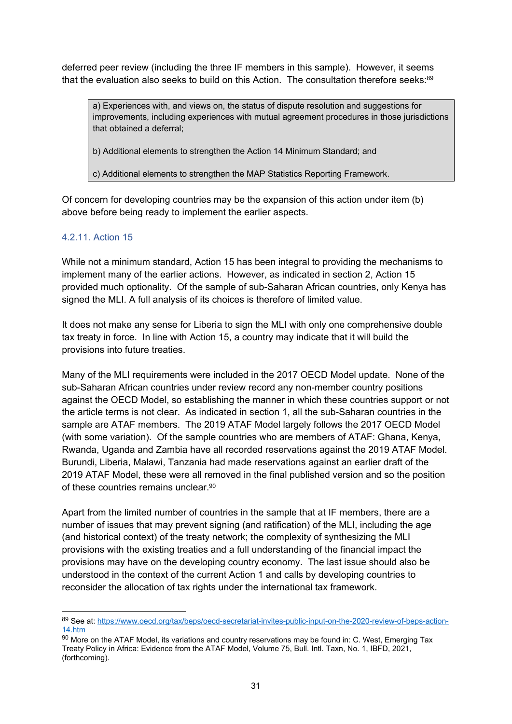deferred peer review (including the three IF members in this sample). However, it seems that the evaluation also seeks to build on this Action. The consultation therefore seeks: $89$ 

a) Experiences with, and views on, the status of dispute resolution and suggestions for improvements, including experiences with mutual agreement procedures in those jurisdictions that obtained a deferral;

b) Additional elements to strengthen the Action 14 Minimum Standard; and

c) Additional elements to strengthen the MAP Statistics Reporting Framework.

Of concern for developing countries may be the expansion of this action under item (b) above before being ready to implement the earlier aspects.

# 4.2.11. Action 15

 $\overline{a}$ 

While not a minimum standard, Action 15 has been integral to providing the mechanisms to implement many of the earlier actions. However, as indicated in section 2, Action 15 provided much optionality. Of the sample of sub-Saharan African countries, only Kenya has signed the MLI. A full analysis of its choices is therefore of limited value.

It does not make any sense for Liberia to sign the MLI with only one comprehensive double tax treaty in force. In line with Action 15, a country may indicate that it will build the provisions into future treaties.

Many of the MLI requirements were included in the 2017 OECD Model update. None of the sub-Saharan African countries under review record any non-member country positions against the OECD Model, so establishing the manner in which these countries support or not the article terms is not clear. As indicated in section 1, all the sub-Saharan countries in the sample are ATAF members. The 2019 ATAF Model largely follows the 2017 OECD Model (with some variation). Of the sample countries who are members of ATAF: Ghana, Kenya, Rwanda, Uganda and Zambia have all recorded reservations against the 2019 ATAF Model. Burundi, Liberia, Malawi, Tanzania had made reservations against an earlier draft of the 2019 ATAF Model, these were all removed in the final published version and so the position of these countries remains unclear 90

Apart from the limited number of countries in the sample that at IF members, there are a number of issues that may prevent signing (and ratification) of the MLI, including the age (and historical context) of the treaty network; the complexity of synthesizing the MLI provisions with the existing treaties and a full understanding of the financial impact the provisions may have on the developing country economy. The last issue should also be understood in the context of the current Action 1 and calls by developing countries to reconsider the allocation of tax rights under the international tax framework.

<sup>89</sup> See at: https://www.oecd.org/tax/beps/oecd-secretariat-invites-public-input-on-the-2020-review-of-beps-action- $\frac{14. \text{htm}}{90}$  More on the ATAF Model, its variations and country reservations may be found in: C. West, Emerging Tax

Treaty Policy in Africa: Evidence from the ATAF Model, Volume 75, Bull. Intl. Taxn, No. 1, IBFD, 2021, (forthcoming).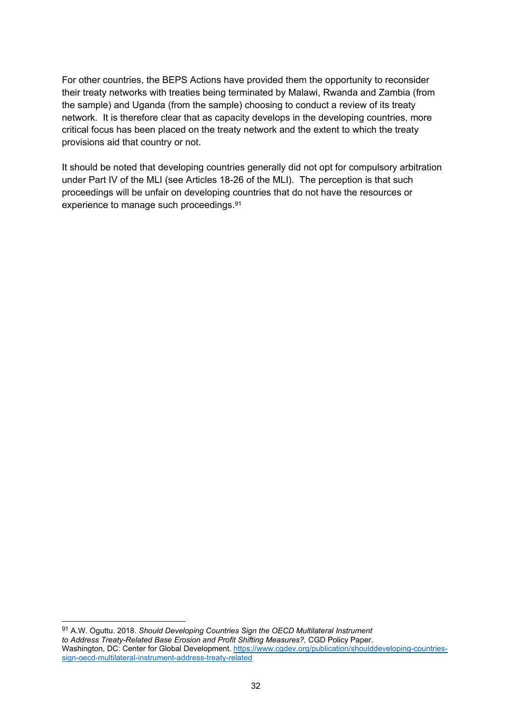For other countries, the BEPS Actions have provided them the opportunity to reconsider their treaty networks with treaties being terminated by Malawi, Rwanda and Zambia (from the sample) and Uganda (from the sample) choosing to conduct a review of its treaty network. It is therefore clear that as capacity develops in the developing countries, more critical focus has been placed on the treaty network and the extent to which the treaty provisions aid that country or not.

It should be noted that developing countries generally did not opt for compulsory arbitration under Part IV of the MLI (see Articles 18-26 of the MLI). The perception is that such proceedings will be unfair on developing countries that do not have the resources or experience to manage such proceedings.91

1

<sup>91</sup> A.W. Oguttu. 2018. *Should Developing Countries Sign the OECD Multilateral Instrument to Address Treaty-Related Base Erosion and Profit Shifting Measures?,* CGD Policy Paper. Washington, DC: Center for Global Development. https://www.cgdev.org/publication/shoulddeveloping-countriessign-oecd-multilateral-instrument-address-treaty-related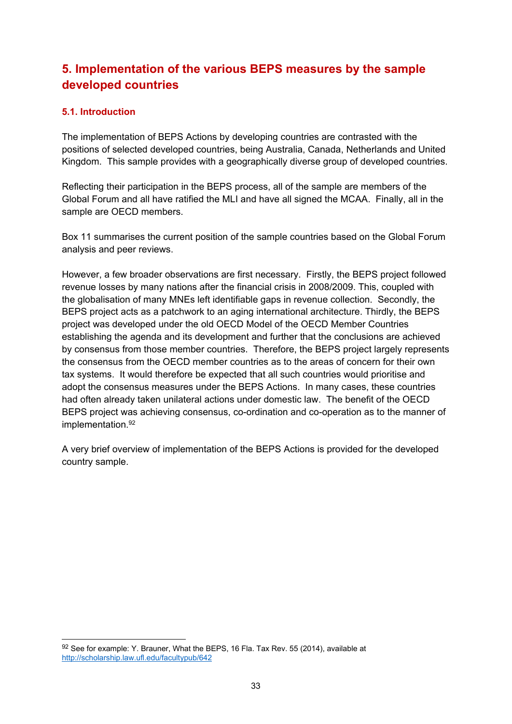# **5. Implementation of the various BEPS measures by the sample developed countries**

# **5.1. Introduction**

 $\overline{a}$ 

The implementation of BEPS Actions by developing countries are contrasted with the positions of selected developed countries, being Australia, Canada, Netherlands and United Kingdom. This sample provides with a geographically diverse group of developed countries.

Reflecting their participation in the BEPS process, all of the sample are members of the Global Forum and all have ratified the MLI and have all signed the MCAA. Finally, all in the sample are OECD members.

Box 11 summarises the current position of the sample countries based on the Global Forum analysis and peer reviews.

However, a few broader observations are first necessary. Firstly, the BEPS project followed revenue losses by many nations after the financial crisis in 2008/2009. This, coupled with the globalisation of many MNEs left identifiable gaps in revenue collection. Secondly, the BEPS project acts as a patchwork to an aging international architecture. Thirdly, the BEPS project was developed under the old OECD Model of the OECD Member Countries establishing the agenda and its development and further that the conclusions are achieved by consensus from those member countries. Therefore, the BEPS project largely represents the consensus from the OECD member countries as to the areas of concern for their own tax systems. It would therefore be expected that all such countries would prioritise and adopt the consensus measures under the BEPS Actions. In many cases, these countries had often already taken unilateral actions under domestic law. The benefit of the OECD BEPS project was achieving consensus, co-ordination and co-operation as to the manner of implementation.92

A very brief overview of implementation of the BEPS Actions is provided for the developed country sample.

<sup>92</sup> See for example: Y. Brauner, What the BEPS, 16 Fla. Tax Rev. 55 (2014), available at http://scholarship.law.ufl.edu/facultypub/642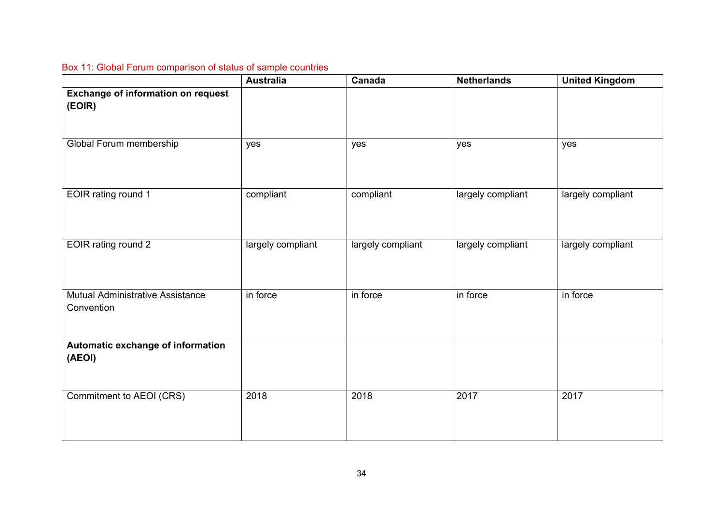# Box 11: Global Forum comparison of status of sample countries

|                                                     | <b>Australia</b>  | Canada            | <b>Netherlands</b> | <b>United Kingdom</b> |
|-----------------------------------------------------|-------------------|-------------------|--------------------|-----------------------|
| <b>Exchange of information on request</b><br>(EOIR) |                   |                   |                    |                       |
| Global Forum membership                             | yes               | yes               | yes                | yes                   |
| EOIR rating round 1                                 | compliant         | compliant         | largely compliant  | largely compliant     |
| EOIR rating round 2                                 | largely compliant | largely compliant | largely compliant  | largely compliant     |
| Mutual Administrative Assistance<br>Convention      | in force          | in force          | in force           | in force              |
| Automatic exchange of information<br>(AEOI)         |                   |                   |                    |                       |
| Commitment to AEOI (CRS)                            | 2018              | 2018              | 2017               | 2017                  |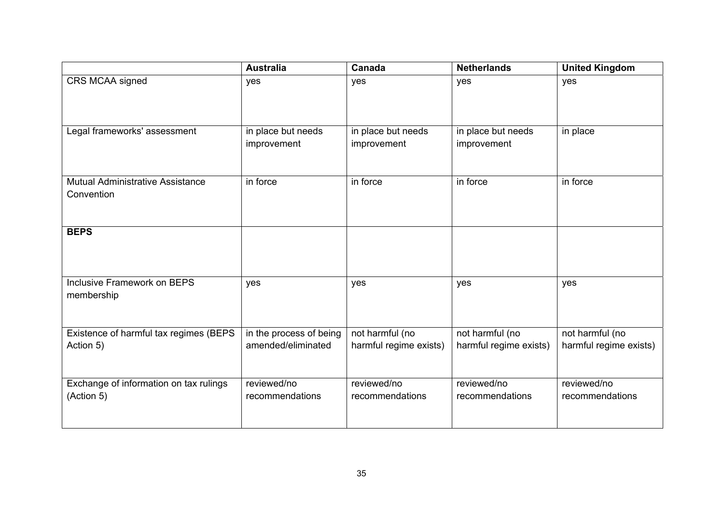|                                                       | <b>Australia</b>                              | Canada                                    | <b>Netherlands</b>                        | <b>United Kingdom</b>                     |
|-------------------------------------------------------|-----------------------------------------------|-------------------------------------------|-------------------------------------------|-------------------------------------------|
| CRS MCAA signed                                       | yes                                           | yes                                       | yes                                       | yes                                       |
| Legal frameworks' assessment                          | in place but needs<br>improvement             | in place but needs<br>improvement         | in place but needs<br>improvement         | in place                                  |
| <b>Mutual Administrative Assistance</b><br>Convention | in force                                      | in force                                  | in force                                  | in force                                  |
| <b>BEPS</b>                                           |                                               |                                           |                                           |                                           |
| Inclusive Framework on BEPS<br>membership             | yes                                           | yes                                       | yes                                       | yes                                       |
| Existence of harmful tax regimes (BEPS<br>Action 5)   | in the process of being<br>amended/eliminated | not harmful (no<br>harmful regime exists) | not harmful (no<br>harmful regime exists) | not harmful (no<br>harmful regime exists) |
| Exchange of information on tax rulings<br>(Action 5)  | reviewed/no<br>recommendations                | reviewed/no<br>recommendations            | reviewed/no<br>recommendations            | reviewed/no<br>recommendations            |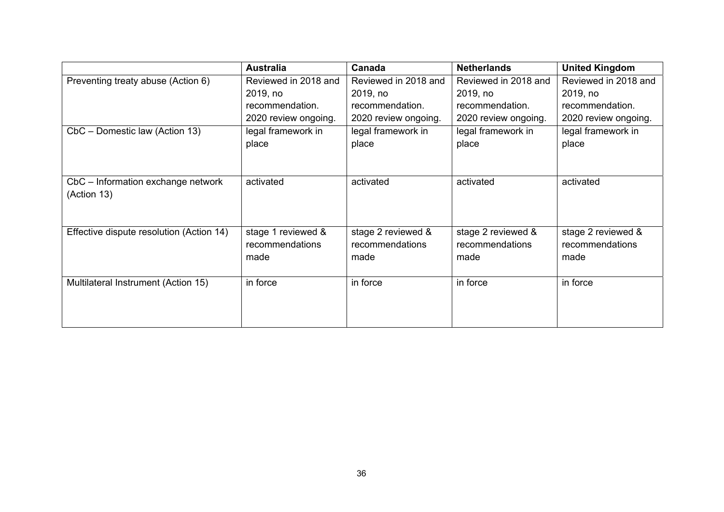|                                          | <b>Australia</b>     | Canada               | <b>Netherlands</b>   | <b>United Kingdom</b> |
|------------------------------------------|----------------------|----------------------|----------------------|-----------------------|
| Preventing treaty abuse (Action 6)       | Reviewed in 2018 and | Reviewed in 2018 and | Reviewed in 2018 and | Reviewed in 2018 and  |
|                                          | 2019, no             | 2019, no             | 2019, no             | 2019, no              |
|                                          | recommendation.      | recommendation.      | recommendation.      | recommendation.       |
|                                          | 2020 review ongoing. | 2020 review ongoing. | 2020 review ongoing. | 2020 review ongoing.  |
| CbC - Domestic law (Action 13)           | legal framework in   | legal framework in   | legal framework in   | legal framework in    |
|                                          | place                | place                | place                | place                 |
|                                          |                      |                      |                      |                       |
|                                          |                      |                      |                      |                       |
| CbC - Information exchange network       | activated            | activated            | activated            | activated             |
| (Action 13)                              |                      |                      |                      |                       |
|                                          |                      |                      |                      |                       |
|                                          |                      |                      |                      |                       |
| Effective dispute resolution (Action 14) | stage 1 reviewed &   | stage 2 reviewed &   | stage 2 reviewed &   | stage 2 reviewed &    |
|                                          | recommendations      | recommendations      | recommendations      | recommendations       |
|                                          | made                 | made                 | made                 | made                  |
|                                          |                      |                      |                      |                       |
| Multilateral Instrument (Action 15)      | in force             | in force             | in force             | in force              |
|                                          |                      |                      |                      |                       |
|                                          |                      |                      |                      |                       |
|                                          |                      |                      |                      |                       |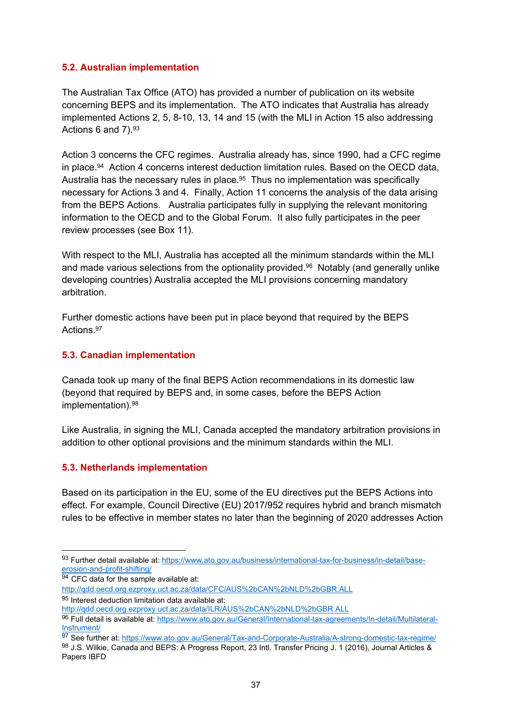#### **5.2. Australian implementation**

The Australian Tax Office (ATO) has provided a number of publication on its website concerning BEPS and its implementation. The ATO indicates that Australia has already implemented Actions 2, 5, 8-10, 13, 14 and 15 (with the MLI in Action 15 also addressing Actions 6 and 7).93

Action 3 concerns the CFC regimes. Australia already has, since 1990, had a CFC regime in place.<sup>94</sup> Action 4 concerns interest deduction limitation rules. Based on the OECD data, Australia has the necessary rules in place.<sup>95</sup> Thus no implementation was specifically necessary for Actions 3 and 4. Finally, Action 11 concerns the analysis of the data arising from the BEPS Actions. Australia participates fully in supplying the relevant monitoring information to the OECD and to the Global Forum. It also fully participates in the peer review processes (see Box 11).

With respect to the MLI, Australia has accepted all the minimum standards within the MLI and made various selections from the optionality provided.<sup>96</sup> Notably (and generally unlike developing countries) Australia accepted the MLI provisions concerning mandatory arbitration.

Further domestic actions have been put in place beyond that required by the BEPS Actions.97

#### **5.3. Canadian implementation**

Canada took up many of the final BEPS Action recommendations in its domestic law (beyond that required by BEPS and, in some cases, before the BEPS Action implementation).98

Like Australia, in signing the MLI, Canada accepted the mandatory arbitration provisions in addition to other optional provisions and the minimum standards within the MLI.

# **5.3. Netherlands implementation**

Based on its participation in the EU, some of the EU directives put the BEPS Actions into effect. For example, Council Directive (EU) 2017/952 requires hybrid and branch mismatch rules to be effective in member states no later than the beginning of 2020 addresses Action

-

<sup>93</sup> Further detail available at: https://www.ato.gov.au/business/international-tax-for-business/in-detail/base-<br>erosion-and-profit-shifting/

 $\overline{94}$  CFC data for the sample available at:

http://qdd.oecd.org.ezproxy.uct.ac.za/data/CFC/AUS%2bCAN%2bNLD%2bGBR.ALL

<sup>95</sup> Interest deduction limitation data available at:<br>http://qdd.oecd.org.ezproxy.uct.ac.za/data/ILR/AUS%2bCAN%2bNLD%2bGBR.ALL

<sup>96</sup> Full detail is available at: https://www.ato.gov.au/General/International-tax-agreements/In-detail/Multilateral-

Instrument/<br><sup>97</sup> See further at: https://www.ato.gov.au/General/Tax-and-Corporate-Australia/A-strong-domestic-tax-regime/<br><sup>98</sup> J.S. Wilkie, Canada and BEPS: A Progress Report, 23 Intl. Transfer Pricing J. 1 (2016), Journal

Papers IBFD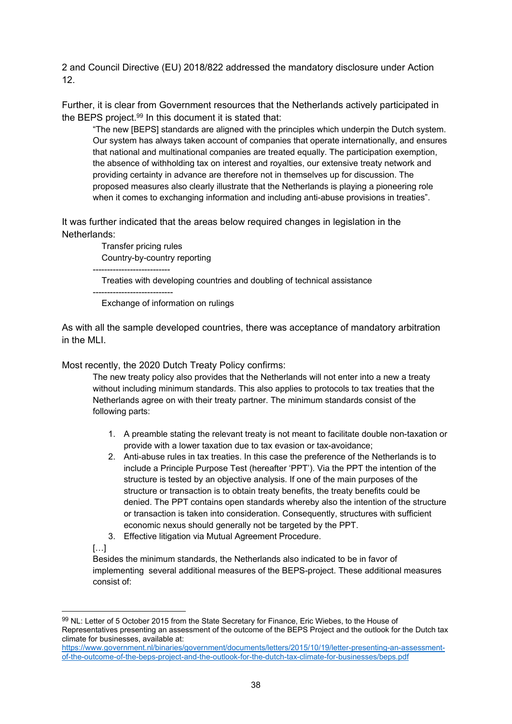2 and Council Directive (EU) 2018/822 addressed the mandatory disclosure under Action 12.

Further, it is clear from Government resources that the Netherlands actively participated in the BEPS project.<sup>99</sup> In this document it is stated that:

"The new [BEPS] standards are aligned with the principles which underpin the Dutch system. Our system has always taken account of companies that operate internationally, and ensures that national and multinational companies are treated equally. The participation exemption, the absence of withholding tax on interest and royalties, our extensive treaty network and providing certainty in advance are therefore not in themselves up for discussion. The proposed measures also clearly illustrate that the Netherlands is playing a pioneering role when it comes to exchanging information and including anti-abuse provisions in treaties".

It was further indicated that the areas below required changes in legislation in the Netherlands:

> Transfer pricing rules Country-by-country reporting

---------------------------

Treaties with developing countries and doubling of technical assistance

---------------------------- Exchange of information on rulings

As with all the sample developed countries, there was acceptance of mandatory arbitration in the MLI.

Most recently, the 2020 Dutch Treaty Policy confirms:

The new treaty policy also provides that the Netherlands will not enter into a new a treaty without including minimum standards. This also applies to protocols to tax treaties that the Netherlands agree on with their treaty partner. The minimum standards consist of the following parts:

- 1. A preamble stating the relevant treaty is not meant to facilitate double non-taxation or provide with a lower taxation due to tax evasion or tax-avoidance;
- 2. Anti-abuse rules in tax treaties. In this case the preference of the Netherlands is to include a Principle Purpose Test (hereafter 'PPT'). Via the PPT the intention of the structure is tested by an objective analysis. If one of the main purposes of the structure or transaction is to obtain treaty benefits, the treaty benefits could be denied. The PPT contains open standards whereby also the intention of the structure or transaction is taken into consideration. Consequently, structures with sufficient economic nexus should generally not be targeted by the PPT.
- 3. Effective litigation via Mutual Agreement Procedure.
- […]

 $\overline{a}$ 

Besides the minimum standards, the Netherlands also indicated to be in favor of implementing several additional measures of the BEPS-project. These additional measures consist of:

<sup>99</sup> NL: Letter of 5 October 2015 from the State Secretary for Finance, Eric Wiebes, to the House of Representatives presenting an assessment of the outcome of the BEPS Project and the outlook for the Dutch tax climate for businesses, available at:

https://www.government.nl/binaries/government/documents/letters/2015/10/19/letter-presenting-an-assessmentof-the-outcome-of-the-beps-project-and-the-outlook-for-the-dutch-tax-climate-for-businesses/beps.pdf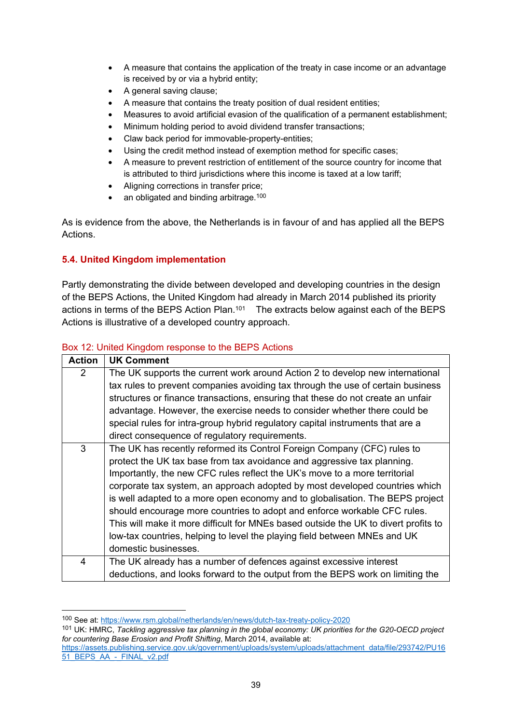- A measure that contains the application of the treaty in case income or an advantage is received by or via a hybrid entity;
- A general saving clause;
- A measure that contains the treaty position of dual resident entities;
- Measures to avoid artificial evasion of the qualification of a permanent establishment;
- Minimum holding period to avoid dividend transfer transactions;
- Claw back period for immovable-property-entities;
- Using the credit method instead of exemption method for specific cases;
- A measure to prevent restriction of entitlement of the source country for income that is attributed to third jurisdictions where this income is taxed at a low tariff;
- Aligning corrections in transfer price:
- an obligated and binding arbitrage.<sup>100</sup>

As is evidence from the above, the Netherlands is in favour of and has applied all the BEPS **Actions** 

# **5.4. United Kingdom implementation**

Partly demonstrating the divide between developed and developing countries in the design of the BEPS Actions, the United Kingdom had already in March 2014 published its priority actions in terms of the BEPS Action Plan.<sup>101</sup> The extracts below against each of the BEPS Actions is illustrative of a developed country approach.

#### Box 12: United Kingdom response to the BEPS Actions

| <b>Action</b> | <b>UK Comment</b>                                                                   |
|---------------|-------------------------------------------------------------------------------------|
| 2             | The UK supports the current work around Action 2 to develop new international       |
|               | tax rules to prevent companies avoiding tax through the use of certain business     |
|               | structures or finance transactions, ensuring that these do not create an unfair     |
|               | advantage. However, the exercise needs to consider whether there could be           |
|               | special rules for intra-group hybrid regulatory capital instruments that are a      |
|               | direct consequence of regulatory requirements.                                      |
| 3             | The UK has recently reformed its Control Foreign Company (CFC) rules to             |
|               | protect the UK tax base from tax avoidance and aggressive tax planning.             |
|               | Importantly, the new CFC rules reflect the UK's move to a more territorial          |
|               | corporate tax system, an approach adopted by most developed countries which         |
|               | is well adapted to a more open economy and to globalisation. The BEPS project       |
|               | should encourage more countries to adopt and enforce workable CFC rules.            |
|               | This will make it more difficult for MNEs based outside the UK to divert profits to |
|               | low-tax countries, helping to level the playing field between MNEs and UK           |
|               | domestic businesses.                                                                |
| 4             | The UK already has a number of defences against excessive interest                  |
|               | deductions, and looks forward to the output from the BEPS work on limiting the      |

 $\overline{a}$ 

<sup>100</sup> See at: https://www.rsm.global/netherlands/en/news/dutch-tax-treaty-policy-2020<br><sup>101</sup> UK: HMRC, *Tackling aggressive tax planning in the global economy: UK priorities for the G20-OECD project for countering Base Erosion and Profit Shifting*, March 2014, available at:

https://assets.publishing.service.gov.uk/government/uploads/system/uploads/attachment\_data/file/293742/PU16 51\_BEPS\_AA\_-\_FINAL\_v2.pdf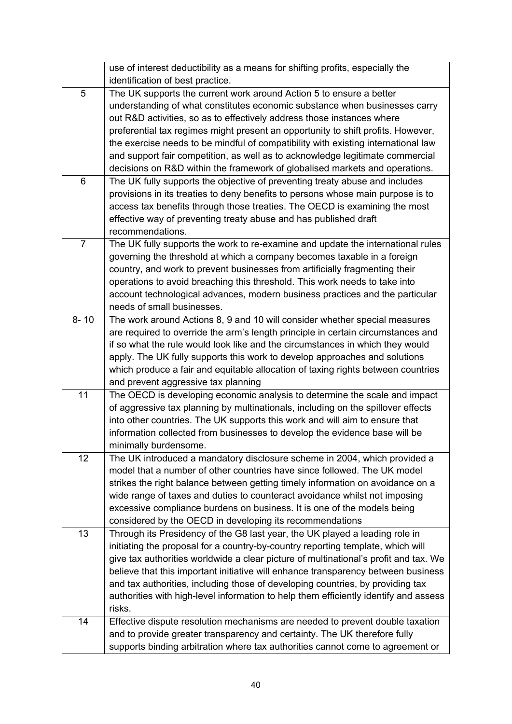|                | use of interest deductibility as a means for shifting profits, especially the        |
|----------------|--------------------------------------------------------------------------------------|
|                | identification of best practice.                                                     |
| 5              | The UK supports the current work around Action 5 to ensure a better                  |
|                | understanding of what constitutes economic substance when businesses carry           |
|                | out R&D activities, so as to effectively address those instances where               |
|                | preferential tax regimes might present an opportunity to shift profits. However,     |
|                | the exercise needs to be mindful of compatibility with existing international law    |
|                | and support fair competition, as well as to acknowledge legitimate commercial        |
|                | decisions on R&D within the framework of globalised markets and operations.          |
| 6              | The UK fully supports the objective of preventing treaty abuse and includes          |
|                | provisions in its treaties to deny benefits to persons whose main purpose is to      |
|                | access tax benefits through those treaties. The OECD is examining the most           |
|                | effective way of preventing treaty abuse and has published draft                     |
|                | recommendations.                                                                     |
| $\overline{7}$ | The UK fully supports the work to re-examine and update the international rules      |
|                | governing the threshold at which a company becomes taxable in a foreign              |
|                | country, and work to prevent businesses from artificially fragmenting their          |
|                | operations to avoid breaching this threshold. This work needs to take into           |
|                | account technological advances, modern business practices and the particular         |
|                | needs of small businesses.                                                           |
| $8 - 10$       | The work around Actions 8, 9 and 10 will consider whether special measures           |
|                | are required to override the arm's length principle in certain circumstances and     |
|                | if so what the rule would look like and the circumstances in which they would        |
|                | apply. The UK fully supports this work to develop approaches and solutions           |
|                | which produce a fair and equitable allocation of taxing rights between countries     |
|                | and prevent aggressive tax planning                                                  |
| 11             | The OECD is developing economic analysis to determine the scale and impact           |
|                | of aggressive tax planning by multinationals, including on the spillover effects     |
|                | into other countries. The UK supports this work and will aim to ensure that          |
|                | information collected from businesses to develop the evidence base will be           |
|                | minimally burdensome.                                                                |
| 12             | The UK introduced a mandatory disclosure scheme in 2004, which provided a            |
|                | model that a number of other countries have since followed. The UK model             |
|                | strikes the right balance between getting timely information on avoidance on a       |
|                | wide range of taxes and duties to counteract avoidance whilst not imposing           |
|                | excessive compliance burdens on business. It is one of the models being              |
|                | considered by the OECD in developing its recommendations                             |
| 13             | Through its Presidency of the G8 last year, the UK played a leading role in          |
|                | initiating the proposal for a country-by-country reporting template, which will      |
|                | give tax authorities worldwide a clear picture of multinational's profit and tax. We |
|                | believe that this important initiative will enhance transparency between business    |
|                | and tax authorities, including those of developing countries, by providing tax       |
|                | authorities with high-level information to help them efficiently identify and assess |
|                | risks.                                                                               |
| 14             | Effective dispute resolution mechanisms are needed to prevent double taxation        |
|                | and to provide greater transparency and certainty. The UK therefore fully            |
|                | supports binding arbitration where tax authorities cannot come to agreement or       |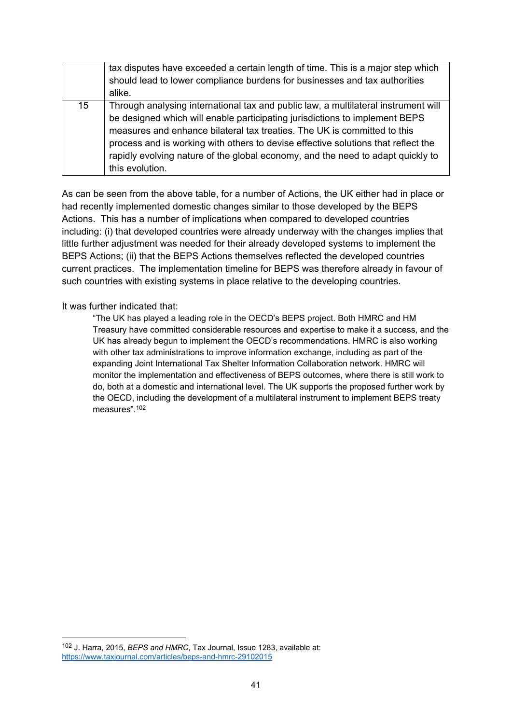|    | tax disputes have exceeded a certain length of time. This is a major step which<br>should lead to lower compliance burdens for businesses and tax authorities<br>alike.                                                                                                                                                                                                                                                                  |
|----|------------------------------------------------------------------------------------------------------------------------------------------------------------------------------------------------------------------------------------------------------------------------------------------------------------------------------------------------------------------------------------------------------------------------------------------|
| 15 | Through analysing international tax and public law, a multilateral instrument will<br>be designed which will enable participating jurisdictions to implement BEPS<br>measures and enhance bilateral tax treaties. The UK is committed to this<br>process and is working with others to devise effective solutions that reflect the<br>rapidly evolving nature of the global economy, and the need to adapt quickly to<br>this evolution. |

As can be seen from the above table, for a number of Actions, the UK either had in place or had recently implemented domestic changes similar to those developed by the BEPS Actions. This has a number of implications when compared to developed countries including: (i) that developed countries were already underway with the changes implies that little further adjustment was needed for their already developed systems to implement the BEPS Actions; (ii) that the BEPS Actions themselves reflected the developed countries current practices. The implementation timeline for BEPS was therefore already in favour of such countries with existing systems in place relative to the developing countries.

It was further indicated that:

1

"The UK has played a leading role in the OECD's BEPS project. Both HMRC and HM Treasury have committed considerable resources and expertise to make it a success, and the UK has already begun to implement the OECD's recommendations. HMRC is also working with other tax administrations to improve information exchange, including as part of the expanding Joint International Tax Shelter Information Collaboration network. HMRC will monitor the implementation and effectiveness of BEPS outcomes, where there is still work to do, both at a domestic and international level. The UK supports the proposed further work by the OECD, including the development of a multilateral instrument to implement BEPS treaty measures".102

<sup>102</sup> J. Harra, 2015, *BEPS and HMRC*, Tax Journal, Issue 1283, available at: https://www.taxjournal.com/articles/beps-and-hmrc-29102015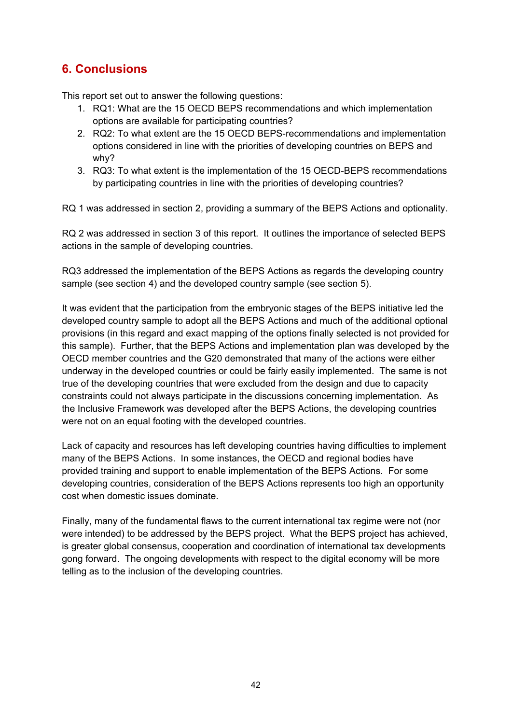# **6. Conclusions**

This report set out to answer the following questions:

- 1. RQ1: What are the 15 OECD BEPS recommendations and which implementation options are available for participating countries?
- 2. RQ2: To what extent are the 15 OECD BEPS-recommendations and implementation options considered in line with the priorities of developing countries on BEPS and why?
- 3. RQ3: To what extent is the implementation of the 15 OECD-BEPS recommendations by participating countries in line with the priorities of developing countries?

RQ 1 was addressed in section 2, providing a summary of the BEPS Actions and optionality.

RQ 2 was addressed in section 3 of this report. It outlines the importance of selected BEPS actions in the sample of developing countries.

RQ3 addressed the implementation of the BEPS Actions as regards the developing country sample (see section 4) and the developed country sample (see section 5).

It was evident that the participation from the embryonic stages of the BEPS initiative led the developed country sample to adopt all the BEPS Actions and much of the additional optional provisions (in this regard and exact mapping of the options finally selected is not provided for this sample). Further, that the BEPS Actions and implementation plan was developed by the OECD member countries and the G20 demonstrated that many of the actions were either underway in the developed countries or could be fairly easily implemented. The same is not true of the developing countries that were excluded from the design and due to capacity constraints could not always participate in the discussions concerning implementation. As the Inclusive Framework was developed after the BEPS Actions, the developing countries were not on an equal footing with the developed countries.

Lack of capacity and resources has left developing countries having difficulties to implement many of the BEPS Actions. In some instances, the OECD and regional bodies have provided training and support to enable implementation of the BEPS Actions. For some developing countries, consideration of the BEPS Actions represents too high an opportunity cost when domestic issues dominate.

Finally, many of the fundamental flaws to the current international tax regime were not (nor were intended) to be addressed by the BEPS project. What the BEPS project has achieved, is greater global consensus, cooperation and coordination of international tax developments gong forward. The ongoing developments with respect to the digital economy will be more telling as to the inclusion of the developing countries.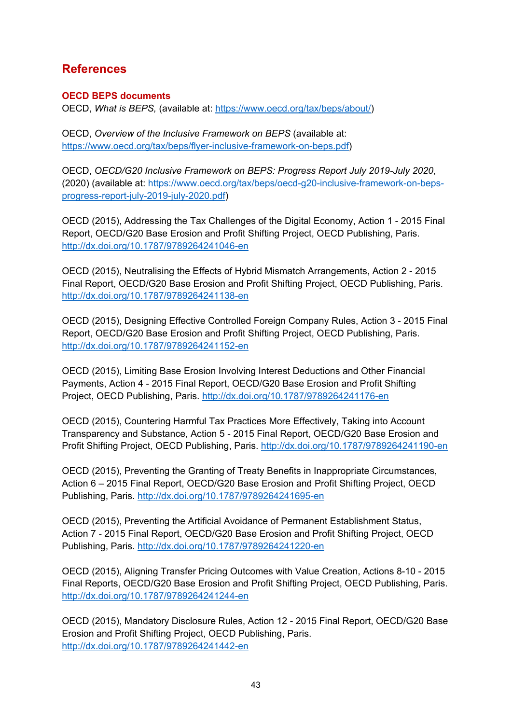# **References**

#### **OECD BEPS documents**

OECD, *What is BEPS,* (available at: https://www.oecd.org/tax/beps/about/)

OECD, *Overview of the Inclusive Framework on BEPS* (available at: https://www.oecd.org/tax/beps/flyer-inclusive-framework-on-beps.pdf)

OECD, *OECD/G20 Inclusive Framework on BEPS: Progress Report July 2019-July 2020*, (2020) (available at: https://www.oecd.org/tax/beps/oecd-g20-inclusive-framework-on-bepsprogress-report-july-2019-july-2020.pdf)

OECD (2015), Addressing the Tax Challenges of the Digital Economy, Action 1 - 2015 Final Report, OECD/G20 Base Erosion and Profit Shifting Project, OECD Publishing, Paris. http://dx.doi.org/10.1787/9789264241046-en

OECD (2015), Neutralising the Effects of Hybrid Mismatch Arrangements, Action 2 - 2015 Final Report, OECD/G20 Base Erosion and Profit Shifting Project, OECD Publishing, Paris. http://dx.doi.org/10.1787/9789264241138-en

OECD (2015), Designing Effective Controlled Foreign Company Rules, Action 3 - 2015 Final Report, OECD/G20 Base Erosion and Profit Shifting Project, OECD Publishing, Paris. http://dx.doi.org/10.1787/9789264241152-en

OECD (2015), Limiting Base Erosion Involving Interest Deductions and Other Financial Payments, Action 4 - 2015 Final Report, OECD/G20 Base Erosion and Profit Shifting Project, OECD Publishing, Paris. http://dx.doi.org/10.1787/9789264241176-en

OECD (2015), Countering Harmful Tax Practices More Effectively, Taking into Account Transparency and Substance, Action 5 - 2015 Final Report, OECD/G20 Base Erosion and Profit Shifting Project, OECD Publishing, Paris. http://dx.doi.org/10.1787/9789264241190-en

OECD (2015), Preventing the Granting of Treaty Benefits in Inappropriate Circumstances, Action 6 – 2015 Final Report, OECD/G20 Base Erosion and Profit Shifting Project, OECD Publishing, Paris. http://dx.doi.org/10.1787/9789264241695-en

OECD (2015), Preventing the Artificial Avoidance of Permanent Establishment Status, Action 7 - 2015 Final Report, OECD/G20 Base Erosion and Profit Shifting Project, OECD Publishing, Paris. http://dx.doi.org/10.1787/9789264241220-en

OECD (2015), Aligning Transfer Pricing Outcomes with Value Creation, Actions 8-10 - 2015 Final Reports, OECD/G20 Base Erosion and Profit Shifting Project, OECD Publishing, Paris. http://dx.doi.org/10.1787/9789264241244-en

OECD (2015), Mandatory Disclosure Rules, Action 12 - 2015 Final Report, OECD/G20 Base Erosion and Profit Shifting Project, OECD Publishing, Paris. http://dx.doi.org/10.1787/9789264241442-en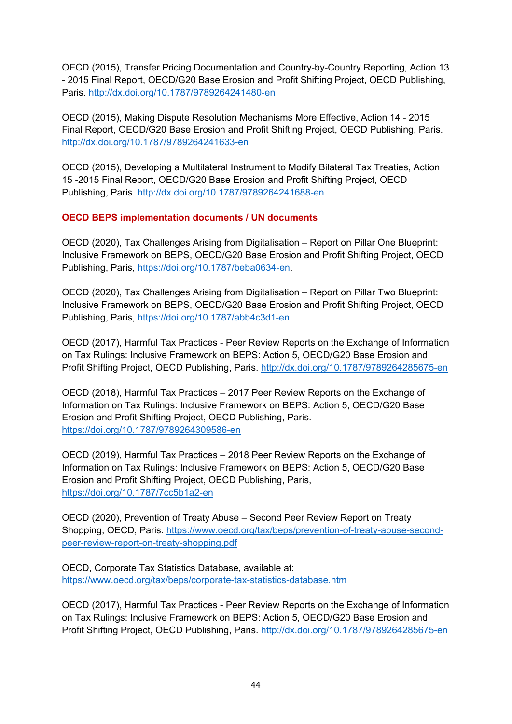OECD (2015), Transfer Pricing Documentation and Country-by-Country Reporting, Action 13 - 2015 Final Report, OECD/G20 Base Erosion and Profit Shifting Project, OECD Publishing, Paris. http://dx.doi.org/10.1787/9789264241480-en

OECD (2015), Making Dispute Resolution Mechanisms More Effective, Action 14 - 2015 Final Report, OECD/G20 Base Erosion and Profit Shifting Project, OECD Publishing, Paris. http://dx.doi.org/10.1787/9789264241633-en

OECD (2015), Developing a Multilateral Instrument to Modify Bilateral Tax Treaties, Action 15 -2015 Final Report, OECD/G20 Base Erosion and Profit Shifting Project, OECD Publishing, Paris. http://dx.doi.org/10.1787/9789264241688-en

# **OECD BEPS implementation documents / UN documents**

OECD (2020), Tax Challenges Arising from Digitalisation – Report on Pillar One Blueprint: Inclusive Framework on BEPS, OECD/G20 Base Erosion and Profit Shifting Project, OECD Publishing, Paris, https://doi.org/10.1787/beba0634-en.

OECD (2020), Tax Challenges Arising from Digitalisation – Report on Pillar Two Blueprint: Inclusive Framework on BEPS, OECD/G20 Base Erosion and Profit Shifting Project, OECD Publishing, Paris, https://doi.org/10.1787/abb4c3d1-en

OECD (2017), Harmful Tax Practices - Peer Review Reports on the Exchange of Information on Tax Rulings: Inclusive Framework on BEPS: Action 5, OECD/G20 Base Erosion and Profit Shifting Project, OECD Publishing, Paris. http://dx.doi.org/10.1787/9789264285675-en

OECD (2018), Harmful Tax Practices – 2017 Peer Review Reports on the Exchange of Information on Tax Rulings: Inclusive Framework on BEPS: Action 5, OECD/G20 Base Erosion and Profit Shifting Project, OECD Publishing, Paris. https://doi.org/10.1787/9789264309586-en

OECD (2019), Harmful Tax Practices – 2018 Peer Review Reports on the Exchange of Information on Tax Rulings: Inclusive Framework on BEPS: Action 5, OECD/G20 Base Erosion and Profit Shifting Project, OECD Publishing, Paris, https://doi.org/10.1787/7cc5b1a2-en

OECD (2020), Prevention of Treaty Abuse – Second Peer Review Report on Treaty Shopping, OECD, Paris. https://www.oecd.org/tax/beps/prevention-of-treaty-abuse-secondpeer-review-report-on-treaty-shopping.pdf

OECD, Corporate Tax Statistics Database, available at: https://www.oecd.org/tax/beps/corporate-tax-statistics-database.htm

OECD (2017), Harmful Tax Practices - Peer Review Reports on the Exchange of Information on Tax Rulings: Inclusive Framework on BEPS: Action 5, OECD/G20 Base Erosion and Profit Shifting Project, OECD Publishing, Paris. http://dx.doi.org/10.1787/9789264285675-en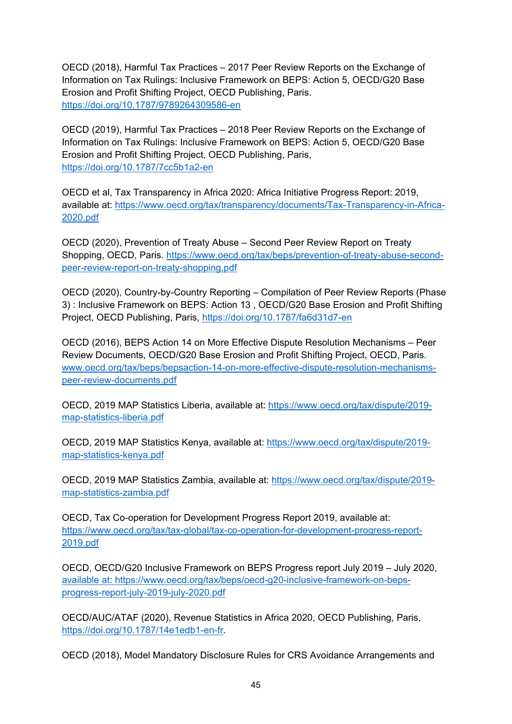OECD (2018), Harmful Tax Practices – 2017 Peer Review Reports on the Exchange of Information on Tax Rulings: Inclusive Framework on BEPS: Action 5, OECD/G20 Base Erosion and Profit Shifting Project, OECD Publishing, Paris. https://doi.org/10.1787/9789264309586-en

OECD (2019), Harmful Tax Practices – 2018 Peer Review Reports on the Exchange of Information on Tax Rulings: Inclusive Framework on BEPS: Action 5, OECD/G20 Base Erosion and Profit Shifting Project, OECD Publishing, Paris, https://doi.org/10.1787/7cc5b1a2-en

OECD et al, Tax Transparency in Africa 2020: Africa Initiative Progress Report: 2019, available at: https://www.oecd.org/tax/transparency/documents/Tax-Transparency-in-Africa-2020.pdf

OECD (2020), Prevention of Treaty Abuse – Second Peer Review Report on Treaty Shopping, OECD, Paris. https://www.oecd.org/tax/beps/prevention-of-treaty-abuse-secondpeer-review-report-on-treaty-shopping.pdf

OECD (2020), Country-by-Country Reporting – Compilation of Peer Review Reports (Phase 3) : Inclusive Framework on BEPS: Action 13 , OECD/G20 Base Erosion and Profit Shifting Project, OECD Publishing, Paris, https://doi.org/10.1787/fa6d31d7-en

OECD (2016), BEPS Action 14 on More Effective Dispute Resolution Mechanisms – Peer Review Documents, OECD/G20 Base Erosion and Profit Shifting Project, OECD, Paris. www.oecd.org/tax/beps/bepsaction-14-on-more-effective-dispute-resolution-mechanismspeer-review-documents.pdf

OECD, 2019 MAP Statistics Liberia, available at: https://www.oecd.org/tax/dispute/2019 map-statistics-liberia.pdf

OECD, 2019 MAP Statistics Kenya, available at: https://www.oecd.org/tax/dispute/2019 map-statistics-kenya.pdf

OECD, 2019 MAP Statistics Zambia, available at: https://www.oecd.org/tax/dispute/2019 map-statistics-zambia.pdf

OECD, Tax Co-operation for Development Progress Report 2019, available at: https://www.oecd.org/tax/tax-global/tax-co-operation-for-development-progress-report-2019.pdf

OECD, OECD/G20 Inclusive Framework on BEPS Progress report July 2019 – July 2020, available at: https://www.oecd.org/tax/beps/oecd-g20-inclusive-framework-on-bepsprogress-report-july-2019-july-2020.pdf

OECD/AUC/ATAF (2020), Revenue Statistics in Africa 2020, OECD Publishing, Paris, https://doi.org/10.1787/14e1edb1-en-fr.

OECD (2018), Model Mandatory Disclosure Rules for CRS Avoidance Arrangements and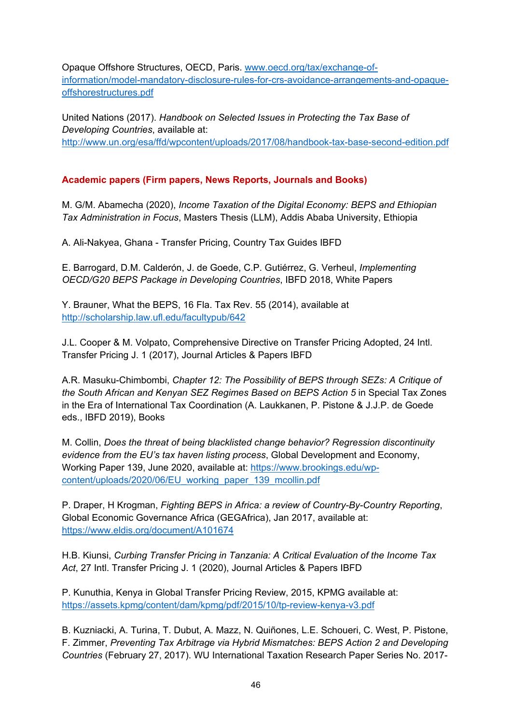Opaque Offshore Structures, OECD, Paris. www.oecd.org/tax/exchange-ofinformation/model-mandatory-disclosure-rules-for-crs-avoidance-arrangements-and-opaqueoffshorestructures.pdf

United Nations (2017). *Handbook on Selected Issues in Protecting the Tax Base of Developing Countries*, available at: http://www.un.org/esa/ffd/wpcontent/uploads/2017/08/handbook-tax-base-second-edition.pdf

# **Academic papers (Firm papers, News Reports, Journals and Books)**

M. G/M. Abamecha (2020), *Income Taxation of the Digital Economy: BEPS and Ethiopian Tax Administration in Focus*, Masters Thesis (LLM), Addis Ababa University, Ethiopia

A. Ali-Nakyea, Ghana - Transfer Pricing, Country Tax Guides IBFD

E. Barrogard, D.M. Calderón, J. de Goede, C.P. Gutiérrez, G. Verheul, *Implementing OECD/G20 BEPS Package in Developing Countries*, IBFD 2018, White Papers

Y. Brauner, What the BEPS, 16 Fla. Tax Rev. 55 (2014), available at http://scholarship.law.ufl.edu/facultypub/642

J.L. Cooper & M. Volpato, Comprehensive Directive on Transfer Pricing Adopted, 24 Intl. Transfer Pricing J. 1 (2017), Journal Articles & Papers IBFD

A.R. Masuku-Chimbombi, *Chapter 12: The Possibility of BEPS through SEZs: A Critique of the South African and Kenyan SEZ Regimes Based on BEPS Action 5* in Special Tax Zones in the Era of International Tax Coordination (A. Laukkanen, P. Pistone & J.J.P. de Goede eds., IBFD 2019), Books

M. Collin, *Does the threat of being blacklisted change behavior? Regression discontinuity evidence from the EU's tax haven listing process*, Global Development and Economy, Working Paper 139, June 2020, available at: https://www.brookings.edu/wpcontent/uploads/2020/06/EU\_working\_paper\_139\_mcollin.pdf

P. Draper, H Krogman, *Fighting BEPS in Africa: a review of Country-By-Country Reporting*, Global Economic Governance Africa (GEGAfrica), Jan 2017, available at: https://www.eldis.org/document/A101674

H.B. Kiunsi, *Curbing Transfer Pricing in Tanzania: A Critical Evaluation of the Income Tax Act*, 27 Intl. Transfer Pricing J. 1 (2020), Journal Articles & Papers IBFD

P. Kunuthia, Kenya in Global Transfer Pricing Review, 2015, KPMG available at: https://assets.kpmg/content/dam/kpmg/pdf/2015/10/tp-review-kenya-v3.pdf

B. Kuzniacki, A. Turina, T. Dubut, A. Mazz, N. Quiñones, L.E. Schoueri, C. West, P. Pistone, F. Zimmer, *Preventing Tax Arbitrage via Hybrid Mismatches: BEPS Action 2 and Developing Countries* (February 27, 2017). WU International Taxation Research Paper Series No. 2017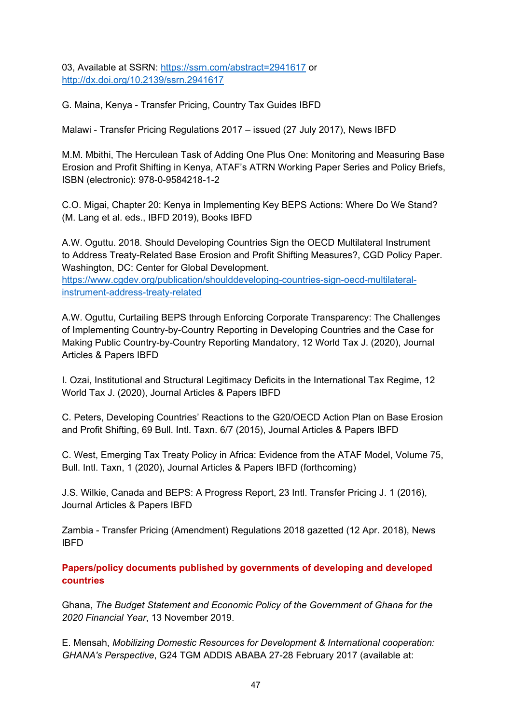03, Available at SSRN: https://ssrn.com/abstract=2941617 or http://dx.doi.org/10.2139/ssrn.2941617

G. Maina, Kenya - Transfer Pricing, Country Tax Guides IBFD

Malawi - Transfer Pricing Regulations 2017 – issued (27 July 2017), News IBFD

M.M. Mbithi, The Herculean Task of Adding One Plus One: Monitoring and Measuring Base Erosion and Profit Shifting in Kenya, ATAF's ATRN Working Paper Series and Policy Briefs, ISBN (electronic): 978-0-9584218-1-2

C.O. Migai, Chapter 20: Kenya in Implementing Key BEPS Actions: Where Do We Stand? (M. Lang et al. eds., IBFD 2019), Books IBFD

A.W. Oguttu. 2018. Should Developing Countries Sign the OECD Multilateral Instrument to Address Treaty-Related Base Erosion and Profit Shifting Measures?, CGD Policy Paper. Washington, DC: Center for Global Development. https://www.cgdev.org/publication/shoulddeveloping-countries-sign-oecd-multilateralinstrument-address-treaty-related

A.W. Oguttu, Curtailing BEPS through Enforcing Corporate Transparency: The Challenges of Implementing Country-by-Country Reporting in Developing Countries and the Case for Making Public Country-by-Country Reporting Mandatory, 12 World Tax J. (2020), Journal Articles & Papers IBFD

I. Ozai, Institutional and Structural Legitimacy Deficits in the International Tax Regime, 12 World Tax J. (2020), Journal Articles & Papers IBFD

C. Peters, Developing Countries' Reactions to the G20/OECD Action Plan on Base Erosion and Profit Shifting, 69 Bull. Intl. Taxn. 6/7 (2015), Journal Articles & Papers IBFD

C. West, Emerging Tax Treaty Policy in Africa: Evidence from the ATAF Model, Volume 75, Bull. Intl. Taxn, 1 (2020), Journal Articles & Papers IBFD (forthcoming)

J.S. Wilkie, Canada and BEPS: A Progress Report, 23 Intl. Transfer Pricing J. 1 (2016), Journal Articles & Papers IBFD

Zambia - Transfer Pricing (Amendment) Regulations 2018 gazetted (12 Apr. 2018), News IBFD

**Papers/policy documents published by governments of developing and developed countries** 

Ghana, *The Budget Statement and Economic Policy of the Government of Ghana for the 2020 Financial Year*, 13 November 2019.

E. Mensah, *Mobilizing Domestic Resources for Development & International cooperation: GHANA's Perspective*, G24 TGM ADDIS ABABA 27-28 February 2017 (available at: